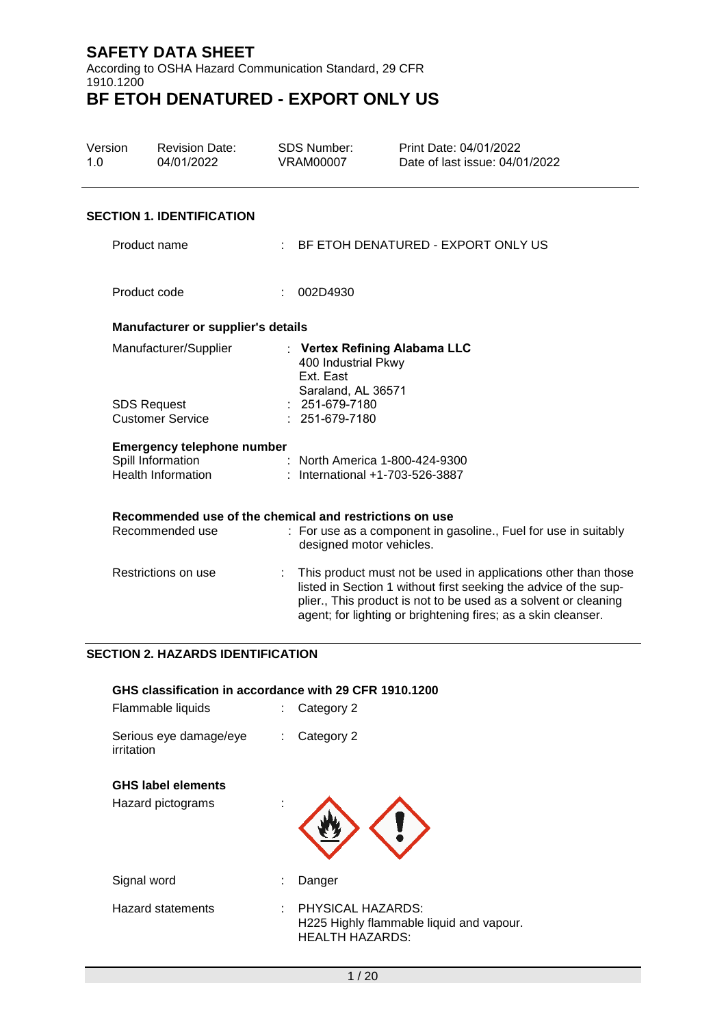According to OSHA Hazard Communication Standard, 29 CFR 1910.1200 **BF ETOH DENATURED - EXPORT ONLY US**

### Version 1.0 Revision Date: 04/01/2022 SDS Number: VRAM00007 Print Date: 04/01/2022 Date of last issue: 04/01/2022 **SECTION 1. IDENTIFICATION** Product name : BF ETOH DENATURED - EXPORT ONLY US Product code : 002D4930 **Manufacturer or supplier's details** Manufacturer/Supplier : **Vertex Refining Alabama LLC** 400 Industrial Pkwy Ext. East Saraland, AL 36571 SDS Request Customer Service : 251-679-7180 : 251-679-7180 **Emergency telephone number**<br>Spill Information : Spill Information : North America 1-800-424-9300<br>
Health Information : International +1-703-526-3887 : International +1-703-526-3887 **Recommended use of the chemical and restrictions on use** Recommended use : For use as a component in gasoline., Fuel for use in suitably designed motor vehicles. Restrictions on use : This product must not be used in applications other than those listed in Section 1 without first seeking the advice of the supplier., This product is not to be used as a solvent or cleaning agent; for lighting or brightening fires; as a skin cleanser.

### **SECTION 2. HAZARDS IDENTIFICATION**

| GHS classification in accordance with 29 CFR 1910.1200<br>Flammable liquids |    | Category 2                                                                              |
|-----------------------------------------------------------------------------|----|-----------------------------------------------------------------------------------------|
| Serious eye damage/eye<br>irritation                                        | ÷. | Category 2                                                                              |
| <b>GHS label elements</b><br>Hazard pictograms                              |    |                                                                                         |
| Signal word                                                                 |    | Danger                                                                                  |
| <b>Hazard statements</b>                                                    |    | PHYSICAL HAZARDS:<br>H225 Highly flammable liquid and vapour.<br><b>HEALTH HAZARDS:</b> |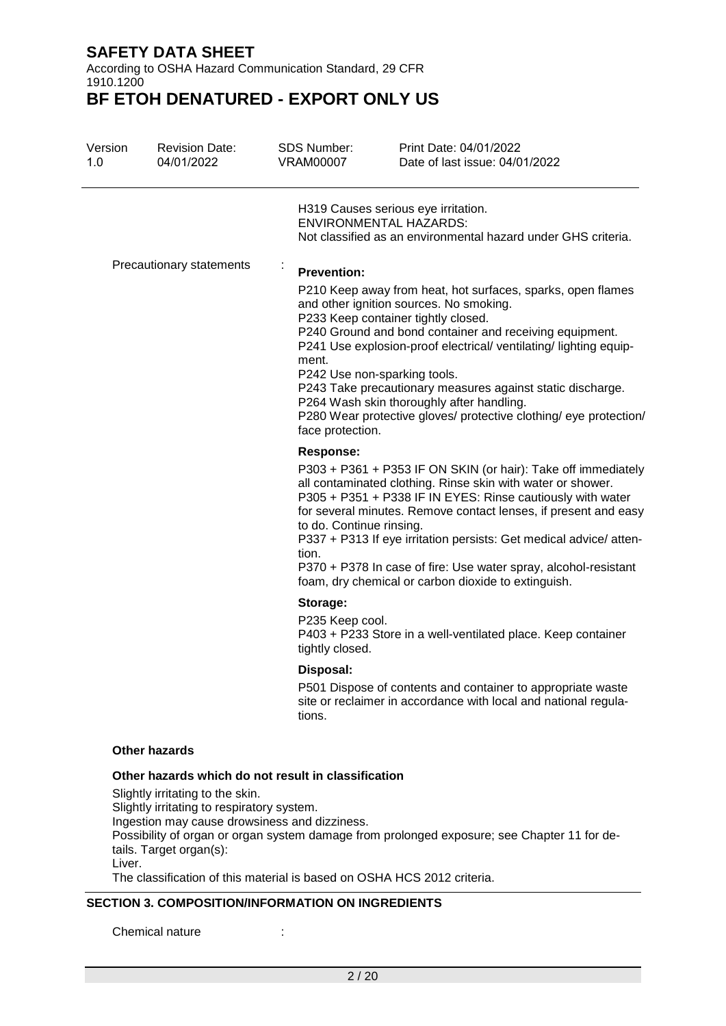According to OSHA Hazard Communication Standard, 29 CFR 1910.1200

**BF ETOH DENATURED - EXPORT ONLY US**

| Version<br>1.0 | <b>Revision Date:</b><br>04/01/2022                                            | SDS Number:<br><b>VRAM00007</b>                           | Print Date: 04/01/2022<br>Date of last issue: 04/01/2022                                                                                                                                                                                                                                                                                                                                                                                                      |
|----------------|--------------------------------------------------------------------------------|-----------------------------------------------------------|---------------------------------------------------------------------------------------------------------------------------------------------------------------------------------------------------------------------------------------------------------------------------------------------------------------------------------------------------------------------------------------------------------------------------------------------------------------|
|                |                                                                                |                                                           | H319 Causes serious eye irritation.<br><b>ENVIRONMENTAL HAZARDS:</b><br>Not classified as an environmental hazard under GHS criteria.                                                                                                                                                                                                                                                                                                                         |
|                | Precautionary statements                                                       | $\blacksquare$<br><b>Prevention:</b>                      |                                                                                                                                                                                                                                                                                                                                                                                                                                                               |
|                |                                                                                | ment.<br>P242 Use non-sparking tools.<br>face protection. | P210 Keep away from heat, hot surfaces, sparks, open flames<br>and other ignition sources. No smoking.<br>P233 Keep container tightly closed.<br>P240 Ground and bond container and receiving equipment.<br>P241 Use explosion-proof electrical/ ventilating/ lighting equip-<br>P243 Take precautionary measures against static discharge.<br>P264 Wash skin thoroughly after handling.<br>P280 Wear protective gloves/ protective clothing/ eye protection/ |
|                |                                                                                | Response:<br>to do. Continue rinsing.<br>tion.            | P303 + P361 + P353 IF ON SKIN (or hair): Take off immediately<br>all contaminated clothing. Rinse skin with water or shower.<br>P305 + P351 + P338 IF IN EYES: Rinse cautiously with water<br>for several minutes. Remove contact lenses, if present and easy<br>P337 + P313 If eye irritation persists: Get medical advice/ atten-<br>P370 + P378 In case of fire: Use water spray, alcohol-resistant<br>foam, dry chemical or carbon dioxide to extinguish. |
|                |                                                                                | Storage:                                                  |                                                                                                                                                                                                                                                                                                                                                                                                                                                               |
|                |                                                                                | P235 Keep cool.<br>tightly closed.                        | P403 + P233 Store in a well-ventilated place. Keep container                                                                                                                                                                                                                                                                                                                                                                                                  |
|                |                                                                                | Disposal:                                                 |                                                                                                                                                                                                                                                                                                                                                                                                                                                               |
|                |                                                                                | tions.                                                    | P501 Dispose of contents and container to appropriate waste<br>site or reclaimer in accordance with local and national regula-                                                                                                                                                                                                                                                                                                                                |
|                | <b>Other hazards</b>                                                           |                                                           |                                                                                                                                                                                                                                                                                                                                                                                                                                                               |
|                | Other hazards which do not result in classification                            |                                                           |                                                                                                                                                                                                                                                                                                                                                                                                                                                               |
|                | Slightly irritating to the skin.<br>Slightly irritating to respiratory system. |                                                           |                                                                                                                                                                                                                                                                                                                                                                                                                                                               |

Ingestion may cause drowsiness and dizziness.

Possibility of organ or organ system damage from prolonged exposure; see Chapter 11 for details. Target organ(s):

Liver.

The classification of this material is based on OSHA HCS 2012 criteria.

### **SECTION 3. COMPOSITION/INFORMATION ON INGREDIENTS**

Chemical nature :  $\qquad \qquad$  :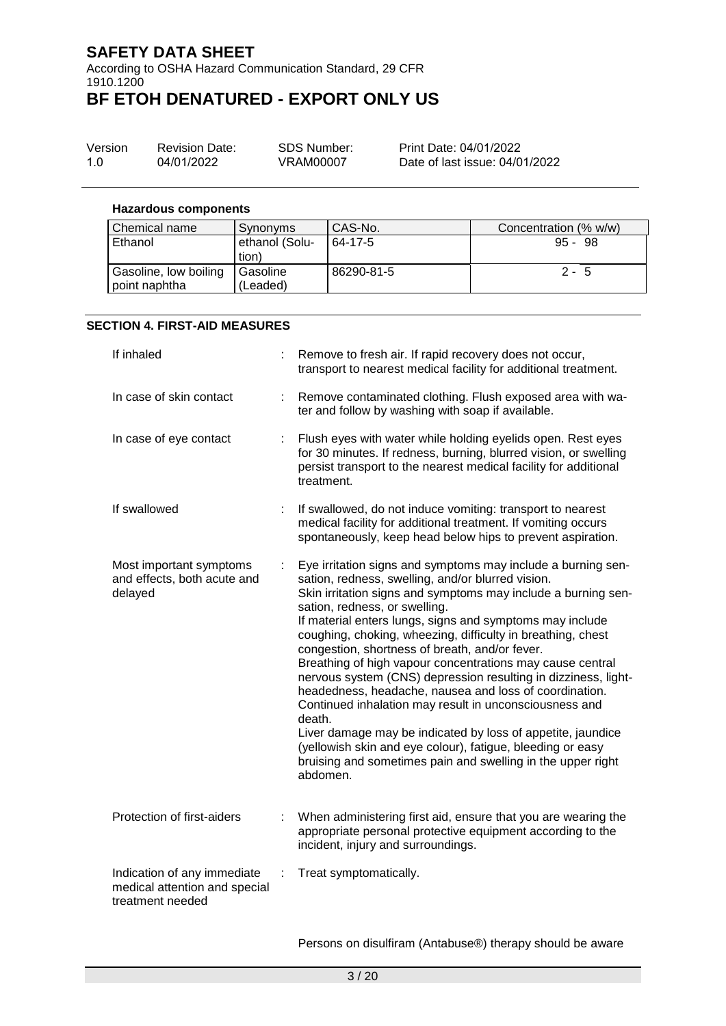According to OSHA Hazard Communication Standard, 29 CFR 1910.1200 **BF ETOH DENATURED - EXPORT ONLY US**

| Version | <b>Revision Date:</b> | SDS Number: | Print Date: 04/01/2022         |
|---------|-----------------------|-------------|--------------------------------|
| 1.0     | 04/01/2022            | VRAM00007   | Date of last issue: 04/01/2022 |

### **Hazardous components**

| l Chemical name                        | Synonyms                | CAS-No.    | Concentration (% w/w) |
|----------------------------------------|-------------------------|------------|-----------------------|
| Ethanol                                | ethanol (Solu-<br>tion) | 64-17-5    | $95 - 98$             |
| Gasoline, low boiling<br>point naphtha | l Gasoline<br>(Leaded)  | 86290-81-5 | $2 - 5$               |

#### **SECTION 4. FIRST-AID MEASURES**

| If inhaled                                                                       |    | Remove to fresh air. If rapid recovery does not occur,<br>transport to nearest medical facility for additional treatment.                                                                                                                                                                                                                                                                                                                                                                                                                                                                                                                                                                                                                                                                                                                                             |
|----------------------------------------------------------------------------------|----|-----------------------------------------------------------------------------------------------------------------------------------------------------------------------------------------------------------------------------------------------------------------------------------------------------------------------------------------------------------------------------------------------------------------------------------------------------------------------------------------------------------------------------------------------------------------------------------------------------------------------------------------------------------------------------------------------------------------------------------------------------------------------------------------------------------------------------------------------------------------------|
| In case of skin contact                                                          | ÷. | Remove contaminated clothing. Flush exposed area with wa-<br>ter and follow by washing with soap if available.                                                                                                                                                                                                                                                                                                                                                                                                                                                                                                                                                                                                                                                                                                                                                        |
| In case of eye contact                                                           | t. | Flush eyes with water while holding eyelids open. Rest eyes<br>for 30 minutes. If redness, burning, blurred vision, or swelling<br>persist transport to the nearest medical facility for additional<br>treatment.                                                                                                                                                                                                                                                                                                                                                                                                                                                                                                                                                                                                                                                     |
| If swallowed                                                                     |    | If swallowed, do not induce vomiting: transport to nearest<br>medical facility for additional treatment. If vomiting occurs<br>spontaneously, keep head below hips to prevent aspiration.                                                                                                                                                                                                                                                                                                                                                                                                                                                                                                                                                                                                                                                                             |
| Most important symptoms<br>and effects, both acute and<br>delayed                |    | Eye irritation signs and symptoms may include a burning sen-<br>sation, redness, swelling, and/or blurred vision.<br>Skin irritation signs and symptoms may include a burning sen-<br>sation, redness, or swelling.<br>If material enters lungs, signs and symptoms may include<br>coughing, choking, wheezing, difficulty in breathing, chest<br>congestion, shortness of breath, and/or fever.<br>Breathing of high vapour concentrations may cause central<br>nervous system (CNS) depression resulting in dizziness, light-<br>headedness, headache, nausea and loss of coordination.<br>Continued inhalation may result in unconsciousness and<br>death.<br>Liver damage may be indicated by loss of appetite, jaundice<br>(yellowish skin and eye colour), fatigue, bleeding or easy<br>bruising and sometimes pain and swelling in the upper right<br>abdomen. |
| Protection of first-aiders                                                       |    | When administering first aid, ensure that you are wearing the<br>appropriate personal protective equipment according to the<br>incident, injury and surroundings.                                                                                                                                                                                                                                                                                                                                                                                                                                                                                                                                                                                                                                                                                                     |
| Indication of any immediate<br>medical attention and special<br>treatment needed | ÷  | Treat symptomatically.                                                                                                                                                                                                                                                                                                                                                                                                                                                                                                                                                                                                                                                                                                                                                                                                                                                |

Persons on disulfiram (Antabuse®) therapy should be aware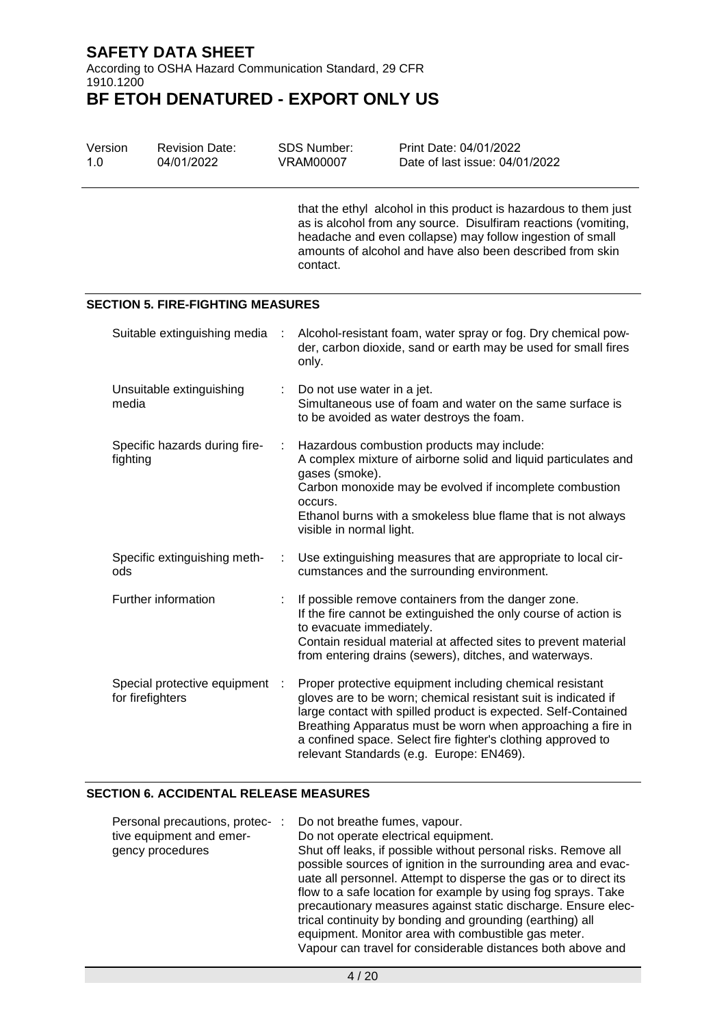According to OSHA Hazard Communication Standard, 29 CFR 1910.1200

## **BF ETOH DENATURED - EXPORT ONLY US**

| Version<br>1.0                                     | <b>Revision Date:</b><br>04/01/2022      |                                                                                                                                                                                                                                                                                                        | <b>SDS Number:</b><br><b>VRAM00007</b>                                                                                                                                                                                                                                   | Print Date: 04/01/2022<br>Date of last issue: 04/01/2022                                                                                                                                                                                                                                                                                                                |  |  |  |
|----------------------------------------------------|------------------------------------------|--------------------------------------------------------------------------------------------------------------------------------------------------------------------------------------------------------------------------------------------------------------------------------------------------------|--------------------------------------------------------------------------------------------------------------------------------------------------------------------------------------------------------------------------------------------------------------------------|-------------------------------------------------------------------------------------------------------------------------------------------------------------------------------------------------------------------------------------------------------------------------------------------------------------------------------------------------------------------------|--|--|--|
|                                                    |                                          |                                                                                                                                                                                                                                                                                                        | that the ethyl alcohol in this product is hazardous to them just<br>as is alcohol from any source. Disulfiram reactions (vomiting,<br>headache and even collapse) may follow ingestion of small<br>amounts of alcohol and have also been described from skin<br>contact. |                                                                                                                                                                                                                                                                                                                                                                         |  |  |  |
|                                                    | <b>SECTION 5. FIRE-FIGHTING MEASURES</b> |                                                                                                                                                                                                                                                                                                        |                                                                                                                                                                                                                                                                          |                                                                                                                                                                                                                                                                                                                                                                         |  |  |  |
|                                                    | Suitable extinguishing media             | ÷                                                                                                                                                                                                                                                                                                      | only.                                                                                                                                                                                                                                                                    | Alcohol-resistant foam, water spray or fog. Dry chemical pow-<br>der, carbon dioxide, sand or earth may be used for small fires                                                                                                                                                                                                                                         |  |  |  |
| media                                              | Unsuitable extinguishing                 | Do not use water in a jet.<br>to be avoided as water destroys the foam.                                                                                                                                                                                                                                |                                                                                                                                                                                                                                                                          | Simultaneous use of foam and water on the same surface is                                                                                                                                                                                                                                                                                                               |  |  |  |
| fighting                                           | Specific hazards during fire-            | Hazardous combustion products may include:<br>÷<br>A complex mixture of airborne solid and liquid particulates and<br>gases (smoke).<br>Carbon monoxide may be evolved if incomplete combustion<br>occurs.<br>Ethanol burns with a smokeless blue flame that is not always<br>visible in normal light. |                                                                                                                                                                                                                                                                          |                                                                                                                                                                                                                                                                                                                                                                         |  |  |  |
| ods                                                | Specific extinguishing meth-             |                                                                                                                                                                                                                                                                                                        | Use extinguishing measures that are appropriate to local cir-<br>÷<br>cumstances and the surrounding environment.                                                                                                                                                        |                                                                                                                                                                                                                                                                                                                                                                         |  |  |  |
|                                                    | Further information                      | If possible remove containers from the danger zone.<br>If the fire cannot be extinguished the only course of action is<br>to evacuate immediately.<br>Contain residual material at affected sites to prevent material<br>from entering drains (sewers), ditches, and waterways.                        |                                                                                                                                                                                                                                                                          |                                                                                                                                                                                                                                                                                                                                                                         |  |  |  |
| Special protective equipment :<br>for firefighters |                                          |                                                                                                                                                                                                                                                                                                        |                                                                                                                                                                                                                                                                          | Proper protective equipment including chemical resistant<br>gloves are to be worn; chemical resistant suit is indicated if<br>large contact with spilled product is expected. Self-Contained<br>Breathing Apparatus must be worn when approaching a fire in<br>a confined space. Select fire fighter's clothing approved to<br>relevant Standards (e.g. Europe: EN469). |  |  |  |

### **SECTION 6. ACCIDENTAL RELEASE MEASURES**

| Personal precautions, protec-: | Do not breathe fumes, vapour.                                    |
|--------------------------------|------------------------------------------------------------------|
| tive equipment and emer-       | Do not operate electrical equipment.                             |
| gency procedures               | Shut off leaks, if possible without personal risks. Remove all   |
|                                | possible sources of ignition in the surrounding area and evac-   |
|                                | uate all personnel. Attempt to disperse the gas or to direct its |
|                                | flow to a safe location for example by using fog sprays. Take    |
|                                | precautionary measures against static discharge. Ensure elec-    |
|                                | trical continuity by bonding and grounding (earthing) all        |
|                                | equipment. Monitor area with combustible gas meter.              |
|                                | Vapour can travel for considerable distances both above and      |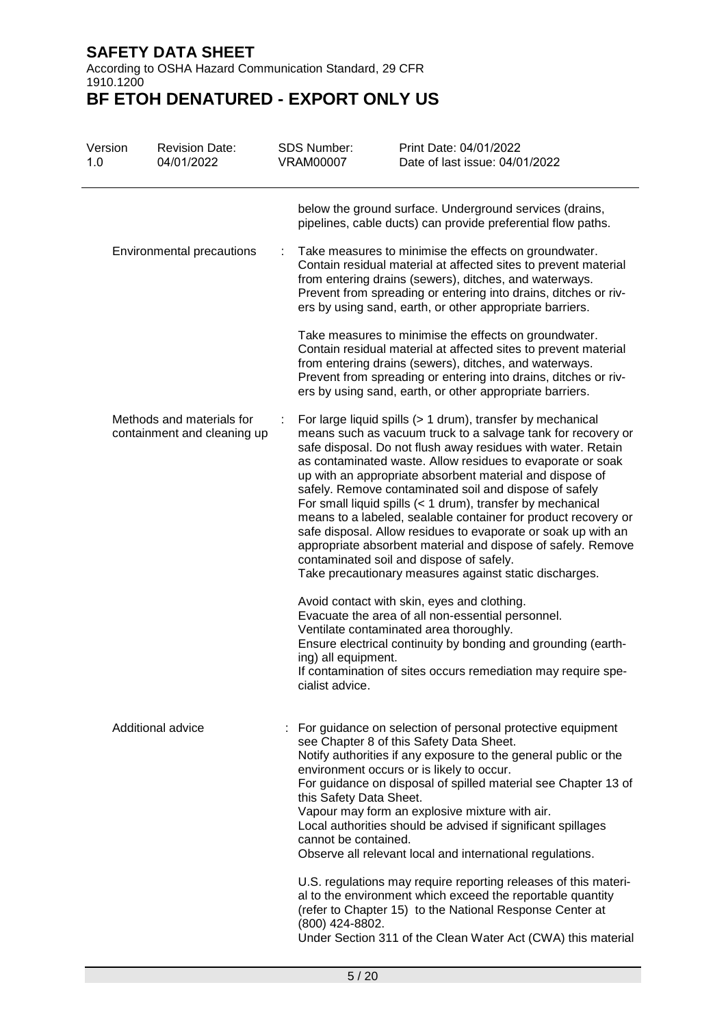According to OSHA Hazard Communication Standard, 29 CFR 1910.1200

| Version<br>1.0 | <b>Revision Date:</b><br>04/01/2022                      |  | <b>SDS Number:</b><br><b>VRAM00007</b>          | Print Date: 04/01/2022<br>Date of last issue: 04/01/2022                                                                                                                                                                                                                                                                                                                                                                                                                                                                                                                                                                                                                                                                                                                                                                                                                                                                                                              |
|----------------|----------------------------------------------------------|--|-------------------------------------------------|-----------------------------------------------------------------------------------------------------------------------------------------------------------------------------------------------------------------------------------------------------------------------------------------------------------------------------------------------------------------------------------------------------------------------------------------------------------------------------------------------------------------------------------------------------------------------------------------------------------------------------------------------------------------------------------------------------------------------------------------------------------------------------------------------------------------------------------------------------------------------------------------------------------------------------------------------------------------------|
|                |                                                          |  |                                                 | below the ground surface. Underground services (drains,<br>pipelines, cable ducts) can provide preferential flow paths.                                                                                                                                                                                                                                                                                                                                                                                                                                                                                                                                                                                                                                                                                                                                                                                                                                               |
|                | Environmental precautions                                |  |                                                 | Take measures to minimise the effects on groundwater.<br>Contain residual material at affected sites to prevent material<br>from entering drains (sewers), ditches, and waterways.<br>Prevent from spreading or entering into drains, ditches or riv-<br>ers by using sand, earth, or other appropriate barriers.                                                                                                                                                                                                                                                                                                                                                                                                                                                                                                                                                                                                                                                     |
|                |                                                          |  |                                                 | Take measures to minimise the effects on groundwater.<br>Contain residual material at affected sites to prevent material<br>from entering drains (sewers), ditches, and waterways.<br>Prevent from spreading or entering into drains, ditches or riv-<br>ers by using sand, earth, or other appropriate barriers.                                                                                                                                                                                                                                                                                                                                                                                                                                                                                                                                                                                                                                                     |
|                | Methods and materials for<br>containment and cleaning up |  | ing) all equipment.                             | For large liquid spills (> 1 drum), transfer by mechanical<br>means such as vacuum truck to a salvage tank for recovery or<br>safe disposal. Do not flush away residues with water. Retain<br>as contaminated waste. Allow residues to evaporate or soak<br>up with an appropriate absorbent material and dispose of<br>safely. Remove contaminated soil and dispose of safely<br>For small liquid spills (< 1 drum), transfer by mechanical<br>means to a labeled, sealable container for product recovery or<br>safe disposal. Allow residues to evaporate or soak up with an<br>appropriate absorbent material and dispose of safely. Remove<br>contaminated soil and dispose of safely.<br>Take precautionary measures against static discharges.<br>Avoid contact with skin, eyes and clothing.<br>Evacuate the area of all non-essential personnel.<br>Ventilate contaminated area thoroughly.<br>Ensure electrical continuity by bonding and grounding (earth- |
|                |                                                          |  | cialist advice.                                 | If contamination of sites occurs remediation may require spe-                                                                                                                                                                                                                                                                                                                                                                                                                                                                                                                                                                                                                                                                                                                                                                                                                                                                                                         |
|                | Additional advice                                        |  | this Safety Data Sheet.<br>cannot be contained. | : For guidance on selection of personal protective equipment<br>see Chapter 8 of this Safety Data Sheet.<br>Notify authorities if any exposure to the general public or the<br>environment occurs or is likely to occur.<br>For guidance on disposal of spilled material see Chapter 13 of<br>Vapour may form an explosive mixture with air.<br>Local authorities should be advised if significant spillages<br>Observe all relevant local and international regulations.                                                                                                                                                                                                                                                                                                                                                                                                                                                                                             |
|                |                                                          |  | (800) 424-8802.                                 | U.S. regulations may require reporting releases of this materi-<br>al to the environment which exceed the reportable quantity<br>(refer to Chapter 15) to the National Response Center at<br>Under Section 311 of the Clean Water Act (CWA) this material                                                                                                                                                                                                                                                                                                                                                                                                                                                                                                                                                                                                                                                                                                             |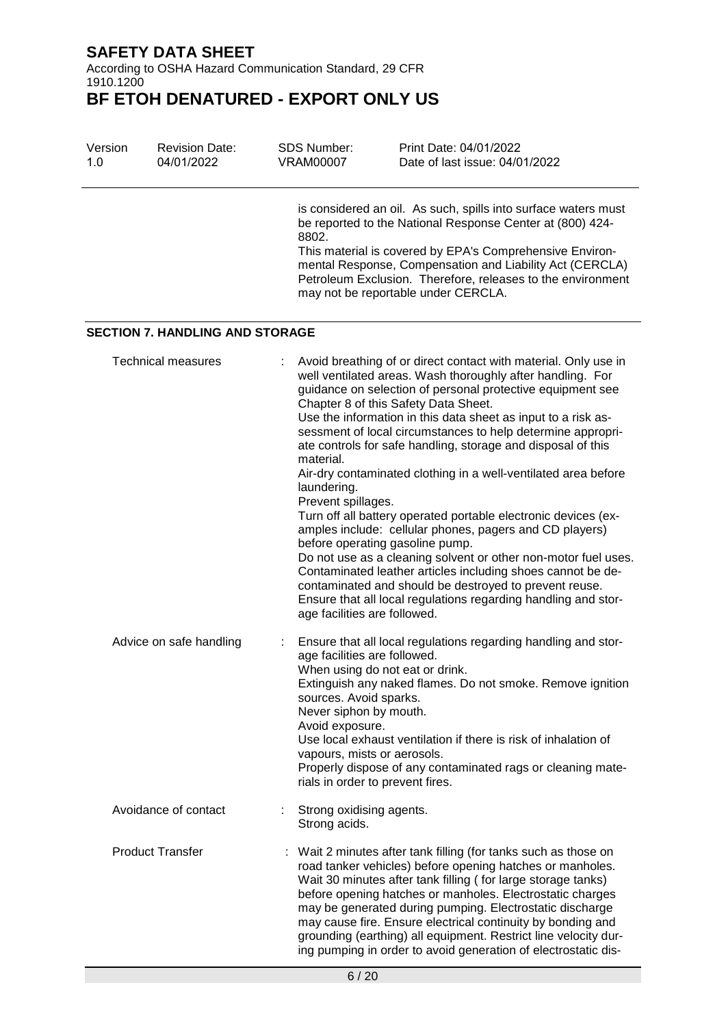According to OSHA Hazard Communication Standard, 29 CFR 1910.1200

| Version<br>1.0 | <b>Revision Date:</b><br>04/01/2022    | SDS Number:<br><b>VRAM00007</b>                                                                                                         | Print Date: 04/01/2022<br>Date of last issue: 04/01/2022                                                                                                                                                                                                                                                                                                                                                                                                                                                                                                                                                                                                                                                                                                                                                                                                                                                                           |
|----------------|----------------------------------------|-----------------------------------------------------------------------------------------------------------------------------------------|------------------------------------------------------------------------------------------------------------------------------------------------------------------------------------------------------------------------------------------------------------------------------------------------------------------------------------------------------------------------------------------------------------------------------------------------------------------------------------------------------------------------------------------------------------------------------------------------------------------------------------------------------------------------------------------------------------------------------------------------------------------------------------------------------------------------------------------------------------------------------------------------------------------------------------|
|                |                                        | 8802.                                                                                                                                   | is considered an oil. As such, spills into surface waters must<br>be reported to the National Response Center at (800) 424-<br>This material is covered by EPA's Comprehensive Environ-<br>mental Response, Compensation and Liability Act (CERCLA)<br>Petroleum Exclusion. Therefore, releases to the environment<br>may not be reportable under CERCLA.                                                                                                                                                                                                                                                                                                                                                                                                                                                                                                                                                                          |
|                | <b>SECTION 7. HANDLING AND STORAGE</b> |                                                                                                                                         |                                                                                                                                                                                                                                                                                                                                                                                                                                                                                                                                                                                                                                                                                                                                                                                                                                                                                                                                    |
|                | <b>Technical measures</b>              | material.<br>laundering.<br>Prevent spillages.<br>age facilities are followed.                                                          | Avoid breathing of or direct contact with material. Only use in<br>well ventilated areas. Wash thoroughly after handling. For<br>guidance on selection of personal protective equipment see<br>Chapter 8 of this Safety Data Sheet.<br>Use the information in this data sheet as input to a risk as-<br>sessment of local circumstances to help determine appropri-<br>ate controls for safe handling, storage and disposal of this<br>Air-dry contaminated clothing in a well-ventilated area before<br>Turn off all battery operated portable electronic devices (ex-<br>amples include: cellular phones, pagers and CD players)<br>before operating gasoline pump.<br>Do not use as a cleaning solvent or other non-motor fuel uses.<br>Contaminated leather articles including shoes cannot be de-<br>contaminated and should be destroyed to prevent reuse.<br>Ensure that all local regulations regarding handling and stor- |
|                | Advice on safe handling                | ÷<br>age facilities are followed.<br>sources. Avoid sparks.<br>Never siphon by mouth.<br>Avoid exposure.<br>vapours, mists or aerosols. | Ensure that all local regulations regarding handling and stor-<br>When using do not eat or drink.<br>Extinguish any naked flames. Do not smoke. Remove ignition<br>Use local exhaust ventilation if there is risk of inhalation of<br>Properly dispose of any contaminated rags or cleaning mate-<br>rials in order to prevent fires.                                                                                                                                                                                                                                                                                                                                                                                                                                                                                                                                                                                              |
|                | Avoidance of contact                   | Strong oxidising agents.<br>Strong acids.                                                                                               |                                                                                                                                                                                                                                                                                                                                                                                                                                                                                                                                                                                                                                                                                                                                                                                                                                                                                                                                    |
|                | <b>Product Transfer</b>                |                                                                                                                                         | : Wait 2 minutes after tank filling (for tanks such as those on<br>road tanker vehicles) before opening hatches or manholes.<br>Wait 30 minutes after tank filling (for large storage tanks)<br>before opening hatches or manholes. Electrostatic charges<br>may be generated during pumping. Electrostatic discharge<br>may cause fire. Ensure electrical continuity by bonding and<br>grounding (earthing) all equipment. Restrict line velocity dur-<br>ing pumping in order to avoid generation of electrostatic dis-                                                                                                                                                                                                                                                                                                                                                                                                          |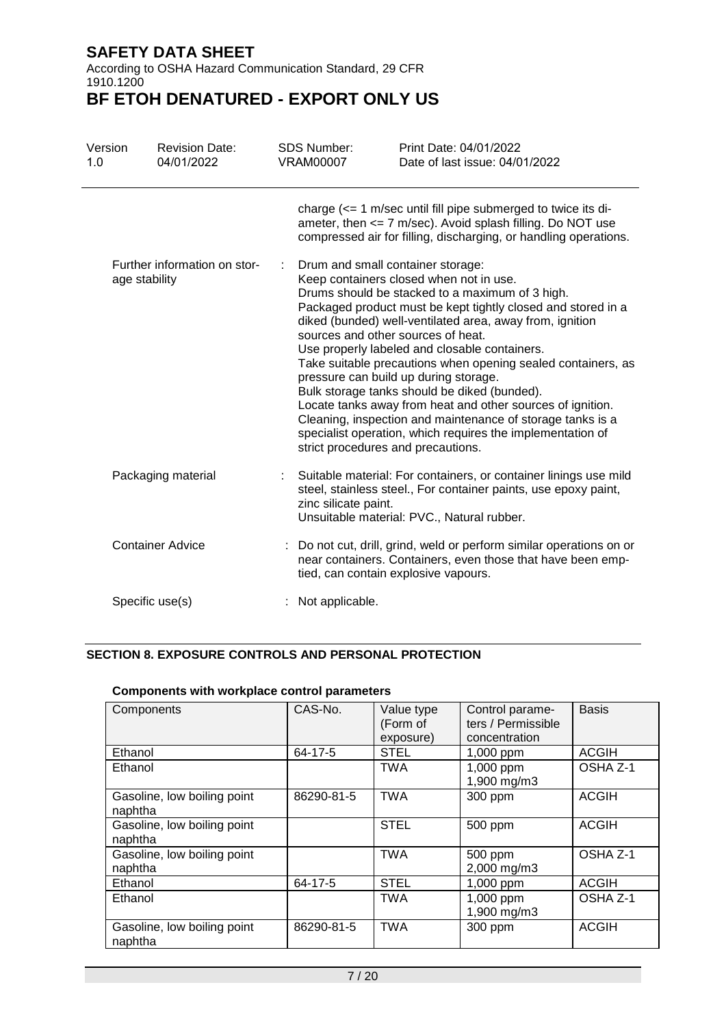According to OSHA Hazard Communication Standard, 29 CFR 1910.1200

# **BF ETOH DENATURED - EXPORT ONLY US**

| Version<br>1.0 | <b>Revision Date:</b><br>04/01/2022 | <b>SDS Number:</b><br><b>VRAM00007</b> | Print Date: 04/01/2022<br>Date of last issue: 04/01/2022                                                                                                                                                                                                                                                                                                                                                                                                                                                                                                                                                                                                                                              |
|----------------|-------------------------------------|----------------------------------------|-------------------------------------------------------------------------------------------------------------------------------------------------------------------------------------------------------------------------------------------------------------------------------------------------------------------------------------------------------------------------------------------------------------------------------------------------------------------------------------------------------------------------------------------------------------------------------------------------------------------------------------------------------------------------------------------------------|
|                |                                     |                                        | charge $\left( \leq 1 \right)$ m/sec until fill pipe submerged to twice its di-<br>ameter, then $\leq$ 7 m/sec). Avoid splash filling. Do NOT use<br>compressed air for filling, discharging, or handling operations.                                                                                                                                                                                                                                                                                                                                                                                                                                                                                 |
| age stability  | Further information on stor-        | strict procedures and precautions.     | Drum and small container storage:<br>Keep containers closed when not in use.<br>Drums should be stacked to a maximum of 3 high.<br>Packaged product must be kept tightly closed and stored in a<br>diked (bunded) well-ventilated area, away from, ignition<br>sources and other sources of heat.<br>Use properly labeled and closable containers.<br>Take suitable precautions when opening sealed containers, as<br>pressure can build up during storage.<br>Bulk storage tanks should be diked (bunded).<br>Locate tanks away from heat and other sources of ignition.<br>Cleaning, inspection and maintenance of storage tanks is a<br>specialist operation, which requires the implementation of |
|                | Packaging material                  | zinc silicate paint.                   | Suitable material: For containers, or container linings use mild<br>steel, stainless steel., For container paints, use epoxy paint,<br>Unsuitable material: PVC., Natural rubber.                                                                                                                                                                                                                                                                                                                                                                                                                                                                                                                     |
|                | <b>Container Advice</b>             |                                        | : Do not cut, drill, grind, weld or perform similar operations on or<br>near containers. Containers, even those that have been emp-<br>tied, can contain explosive vapours.                                                                                                                                                                                                                                                                                                                                                                                                                                                                                                                           |
|                | Specific use(s)                     | : Not applicable.                      |                                                                                                                                                                                                                                                                                                                                                                                                                                                                                                                                                                                                                                                                                                       |

### **SECTION 8. EXPOSURE CONTROLS AND PERSONAL PROTECTION**

|                                        | 00111p011011t0 111t11 11011tpia00 0011t1 01 parametero |                                     |                                                        |              |  |  |  |  |
|----------------------------------------|--------------------------------------------------------|-------------------------------------|--------------------------------------------------------|--------------|--|--|--|--|
| Components                             | CAS-No.                                                | Value type<br>(Form of<br>exposure) | Control parame-<br>ters / Permissible<br>concentration | <b>Basis</b> |  |  |  |  |
| Ethanol                                | 64-17-5                                                | <b>STEL</b>                         | 1,000 ppm                                              | <b>ACGIH</b> |  |  |  |  |
| Ethanol                                |                                                        | <b>TWA</b>                          | 1,000 ppm<br>1,900 mg/m3                               | OSHA Z-1     |  |  |  |  |
| Gasoline, low boiling point<br>naphtha | 86290-81-5                                             | <b>TWA</b>                          | 300 ppm                                                | <b>ACGIH</b> |  |  |  |  |
| Gasoline, low boiling point<br>naphtha |                                                        | <b>STEL</b>                         | 500 ppm                                                | <b>ACGIH</b> |  |  |  |  |
| Gasoline, low boiling point<br>naphtha |                                                        | <b>TWA</b>                          | 500 ppm<br>2,000 mg/m3                                 | OSHA Z-1     |  |  |  |  |
| Ethanol                                | 64-17-5                                                | <b>STEL</b>                         | 1,000 ppm                                              | <b>ACGIH</b> |  |  |  |  |
| Ethanol                                |                                                        | <b>TWA</b>                          | 1,000 ppm<br>1,900 mg/m3                               | OSHA Z-1     |  |  |  |  |
| Gasoline, low boiling point<br>naphtha | 86290-81-5                                             | <b>TWA</b>                          | 300 ppm                                                | <b>ACGIH</b> |  |  |  |  |

### **Components with workplace control parameters**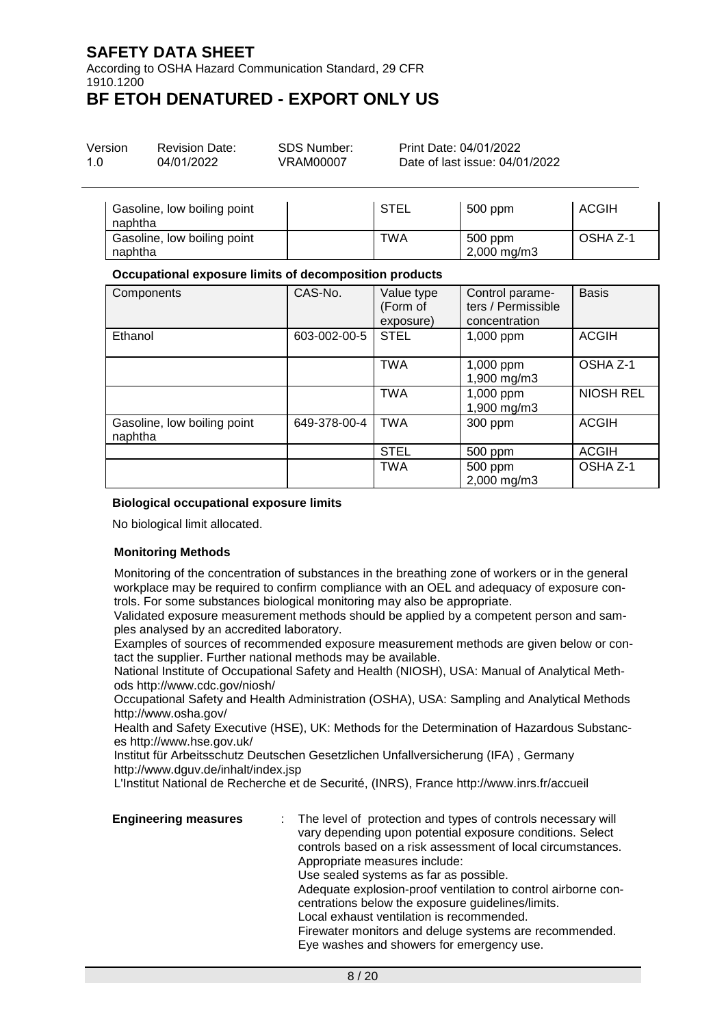According to OSHA Hazard Communication Standard, 29 CFR 1910.1200

## **BF ETOH DENATURED - EXPORT ONLY US**

| Version | <b>Revision Date:</b> | SDS Number: | Print Date: 04/01/2022         |
|---------|-----------------------|-------------|--------------------------------|
| 1.0     | 04/01/2022            | VRAM00007   | Date of last issue: 04/01/2022 |

| Gasoline, low boiling point<br>naphtha | <b>STEL</b> | 500 ppm                            | ACGIH    |
|----------------------------------------|-------------|------------------------------------|----------|
| Gasoline, low boiling point<br>naphtha | TWA         | 500 ppm<br>$2,000 \,\mathrm{mg/m}$ | OSHA Z-1 |

### **Occupational exposure limits of decomposition products**

| Components                             | CAS-No.      | Value type<br>(Form of<br>exposure) | Control parame-<br>ters / Permissible<br>concentration | <b>Basis</b>     |
|----------------------------------------|--------------|-------------------------------------|--------------------------------------------------------|------------------|
| Ethanol                                | 603-002-00-5 | <b>STEL</b>                         | 1,000 ppm                                              | <b>ACGIH</b>     |
|                                        |              | <b>TWA</b>                          | 1,000 ppm<br>1,900 mg/m3                               | OSHA Z-1         |
|                                        |              | <b>TWA</b>                          | 1,000 ppm<br>1,900 mg/m3                               | <b>NIOSH REL</b> |
| Gasoline, low boiling point<br>naphtha | 649-378-00-4 | <b>TWA</b>                          | 300 ppm                                                | <b>ACGIH</b>     |
|                                        |              | <b>STEL</b>                         | 500 ppm                                                | <b>ACGIH</b>     |
|                                        |              | <b>TWA</b>                          | 500 ppm<br>2,000 mg/m3                                 | OSHA Z-1         |

### **Biological occupational exposure limits**

No biological limit allocated.

### **Monitoring Methods**

Monitoring of the concentration of substances in the breathing zone of workers or in the general workplace may be required to confirm compliance with an OEL and adequacy of exposure controls. For some substances biological monitoring may also be appropriate.

Validated exposure measurement methods should be applied by a competent person and samples analysed by an accredited laboratory.

Examples of sources of recommended exposure measurement methods are given below or contact the supplier. Further national methods may be available.

National Institute of Occupational Safety and Health (NIOSH), USA: Manual of Analytical Methods http://www.cdc.gov/niosh/

Occupational Safety and Health Administration (OSHA), USA: Sampling and Analytical Methods http://www.osha.gov/

Health and Safety Executive (HSE), UK: Methods for the Determination of Hazardous Substances http://www.hse.gov.uk/

Institut für Arbeitsschutz Deutschen Gesetzlichen Unfallversicherung (IFA) , Germany http://www.dguv.de/inhalt/index.jsp

L'Institut National de Recherche et de Securité, (INRS), France http://www.inrs.fr/accueil

| <b>Engineering measures</b> | : The level of protection and types of controls necessary will<br>vary depending upon potential exposure conditions. Select<br>controls based on a risk assessment of local circumstances.<br>Appropriate measures include:<br>Use sealed systems as far as possible.<br>Adequate explosion-proof ventilation to control airborne con-<br>centrations below the exposure guidelines/limits.<br>Local exhaust ventilation is recommended.<br>Firewater monitors and deluge systems are recommended.<br>Eye washes and showers for emergency use. |
|-----------------------------|-------------------------------------------------------------------------------------------------------------------------------------------------------------------------------------------------------------------------------------------------------------------------------------------------------------------------------------------------------------------------------------------------------------------------------------------------------------------------------------------------------------------------------------------------|
|-----------------------------|-------------------------------------------------------------------------------------------------------------------------------------------------------------------------------------------------------------------------------------------------------------------------------------------------------------------------------------------------------------------------------------------------------------------------------------------------------------------------------------------------------------------------------------------------|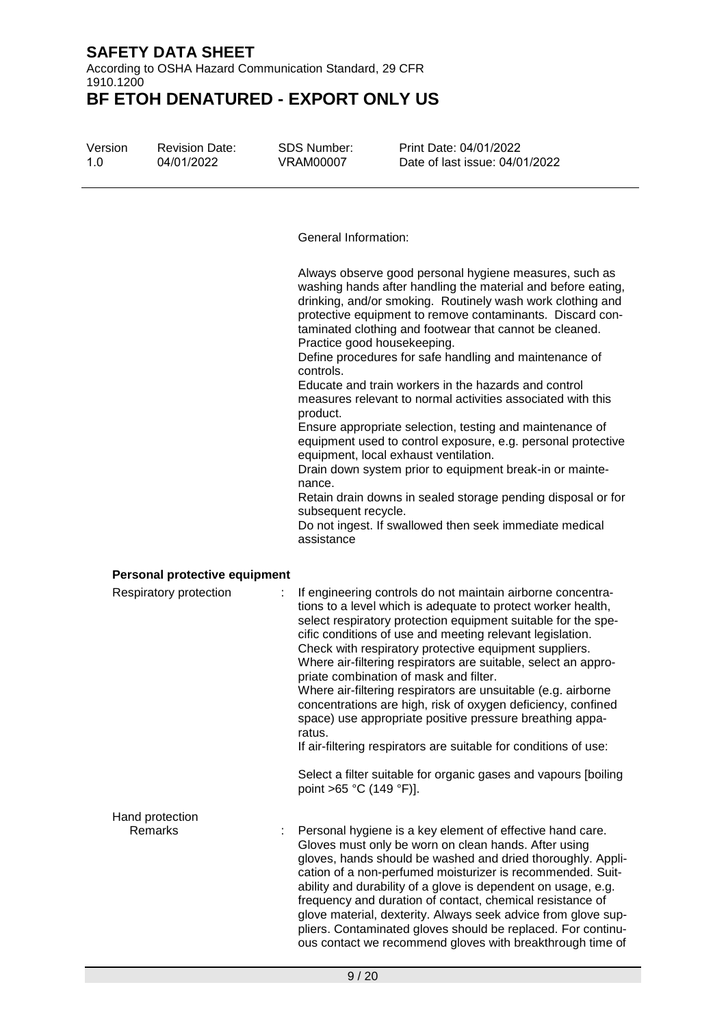According to OSHA Hazard Communication Standard, 29 CFR 1910.1200 **BF ETOH DENATURED - EXPORT ONLY US**

Version 1.0

Revision Date: 04/01/2022

SDS Number: VRAM00007

Print Date: 04/01/2022 Date of last issue: 04/01/2022

General Information:

Always observe good personal hygiene measures, such as washing hands after handling the material and before eating, drinking, and/or smoking. Routinely wash work clothing and protective equipment to remove contaminants. Discard contaminated clothing and footwear that cannot be cleaned. Practice good housekeeping.

Define procedures for safe handling and maintenance of controls.

Educate and train workers in the hazards and control measures relevant to normal activities associated with this product.

Ensure appropriate selection, testing and maintenance of equipment used to control exposure, e.g. personal protective equipment, local exhaust ventilation.

Drain down system prior to equipment break-in or maintenance.

Retain drain downs in sealed storage pending disposal or for subsequent recycle.

Do not ingest. If swallowed then seek immediate medical assistance

### **Personal protective equipment**

| Respiratory protection | If engineering controls do not maintain airborne concentra-<br>tions to a level which is adequate to protect worker health,<br>select respiratory protection equipment suitable for the spe-<br>cific conditions of use and meeting relevant legislation.<br>Check with respiratory protective equipment suppliers.<br>Where air-filtering respirators are suitable, select an appro-<br>priate combination of mask and filter.<br>Where air-filtering respirators are unsuitable (e.g. airborne<br>concentrations are high, risk of oxygen deficiency, confined<br>space) use appropriate positive pressure breathing appa-<br>ratus.<br>If air-filtering respirators are suitable for conditions of use:<br>Select a filter suitable for organic gases and vapours [boiling]<br>point >65 °C (149 °F)]. |
|------------------------|-----------------------------------------------------------------------------------------------------------------------------------------------------------------------------------------------------------------------------------------------------------------------------------------------------------------------------------------------------------------------------------------------------------------------------------------------------------------------------------------------------------------------------------------------------------------------------------------------------------------------------------------------------------------------------------------------------------------------------------------------------------------------------------------------------------|
| Hand protection        |                                                                                                                                                                                                                                                                                                                                                                                                                                                                                                                                                                                                                                                                                                                                                                                                           |
| Remarks                | Personal hygiene is a key element of effective hand care.<br>Gloves must only be worn on clean hands. After using<br>gloves, hands should be washed and dried thoroughly. Appli-<br>cation of a non-perfumed moisturizer is recommended. Suit-<br>ability and durability of a glove is dependent on usage, e.g.<br>frequency and duration of contact, chemical resistance of<br>glove material, dexterity. Always seek advice from glove sup-<br>pliers. Contaminated gloves should be replaced. For continu-<br>ous contact we recommend gloves with breakthrough time of                                                                                                                                                                                                                                |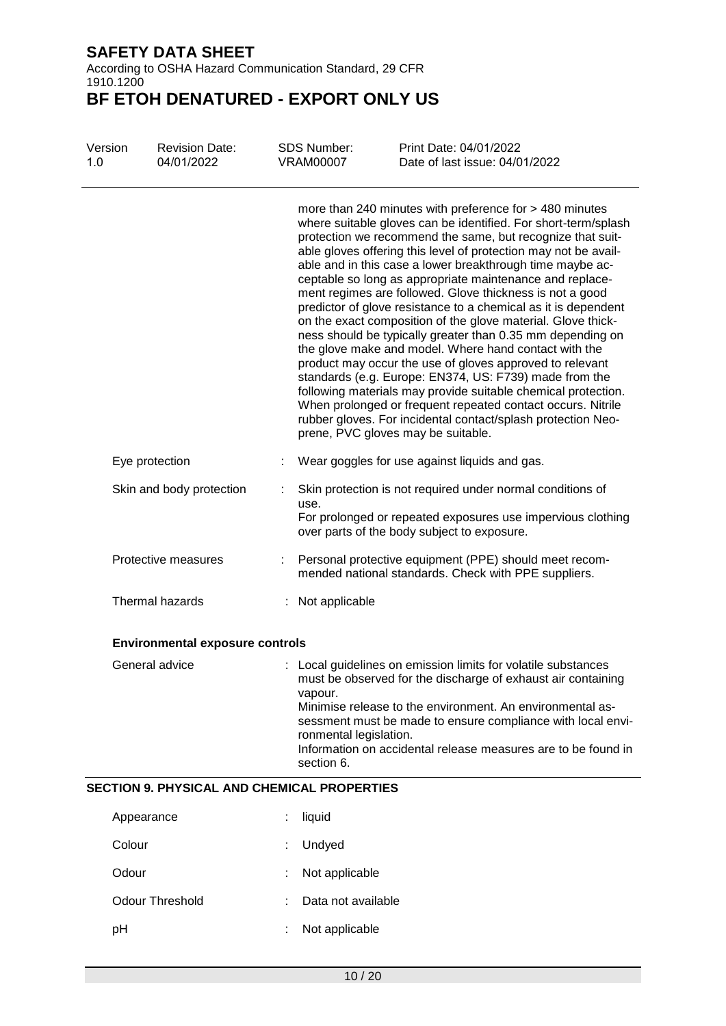According to OSHA Hazard Communication Standard, 29 CFR 1910.1200

| Version<br>1.0 | <b>Revision Date:</b><br>04/01/2022                | <b>SDS Number:</b><br><b>VRAM00007</b>          | Print Date: 04/01/2022<br>Date of last issue: 04/01/2022                                                                                                                                                                                                                                                                                                                                                                                                                                                                                                                                                                                                                                                                                                                                                                                                                                                                                                                                                                                                             |  |  |  |
|----------------|----------------------------------------------------|-------------------------------------------------|----------------------------------------------------------------------------------------------------------------------------------------------------------------------------------------------------------------------------------------------------------------------------------------------------------------------------------------------------------------------------------------------------------------------------------------------------------------------------------------------------------------------------------------------------------------------------------------------------------------------------------------------------------------------------------------------------------------------------------------------------------------------------------------------------------------------------------------------------------------------------------------------------------------------------------------------------------------------------------------------------------------------------------------------------------------------|--|--|--|
|                |                                                    |                                                 | more than 240 minutes with preference for > 480 minutes<br>where suitable gloves can be identified. For short-term/splash<br>protection we recommend the same, but recognize that suit-<br>able gloves offering this level of protection may not be avail-<br>able and in this case a lower breakthrough time maybe ac-<br>ceptable so long as appropriate maintenance and replace-<br>ment regimes are followed. Glove thickness is not a good<br>predictor of glove resistance to a chemical as it is dependent<br>on the exact composition of the glove material. Glove thick-<br>ness should be typically greater than 0.35 mm depending on<br>the glove make and model. Where hand contact with the<br>product may occur the use of gloves approved to relevant<br>standards (e.g. Europe: EN374, US: F739) made from the<br>following materials may provide suitable chemical protection.<br>When prolonged or frequent repeated contact occurs. Nitrile<br>rubber gloves. For incidental contact/splash protection Neo-<br>prene, PVC gloves may be suitable. |  |  |  |
|                | Eye protection                                     |                                                 | Wear goggles for use against liquids and gas.                                                                                                                                                                                                                                                                                                                                                                                                                                                                                                                                                                                                                                                                                                                                                                                                                                                                                                                                                                                                                        |  |  |  |
|                | Skin and body protection                           | use.                                            | Skin protection is not required under normal conditions of<br>For prolonged or repeated exposures use impervious clothing<br>over parts of the body subject to exposure.                                                                                                                                                                                                                                                                                                                                                                                                                                                                                                                                                                                                                                                                                                                                                                                                                                                                                             |  |  |  |
|                | Protective measures                                |                                                 | : Personal protective equipment (PPE) should meet recom-<br>mended national standards. Check with PPE suppliers.                                                                                                                                                                                                                                                                                                                                                                                                                                                                                                                                                                                                                                                                                                                                                                                                                                                                                                                                                     |  |  |  |
|                | Thermal hazards                                    | : Not applicable                                |                                                                                                                                                                                                                                                                                                                                                                                                                                                                                                                                                                                                                                                                                                                                                                                                                                                                                                                                                                                                                                                                      |  |  |  |
|                | <b>Environmental exposure controls</b>             |                                                 |                                                                                                                                                                                                                                                                                                                                                                                                                                                                                                                                                                                                                                                                                                                                                                                                                                                                                                                                                                                                                                                                      |  |  |  |
|                | General advice                                     | vapour.<br>ronmental legislation.<br>section 6. | : Local guidelines on emission limits for volatile substances<br>must be observed for the discharge of exhaust air containing<br>Minimise release to the environment. An environmental as-<br>sessment must be made to ensure compliance with local envi-<br>Information on accidental release measures are to be found in                                                                                                                                                                                                                                                                                                                                                                                                                                                                                                                                                                                                                                                                                                                                           |  |  |  |
|                | <b>SECTION 9. PHYSICAL AND CHEMICAL PROPERTIES</b> |                                                 |                                                                                                                                                                                                                                                                                                                                                                                                                                                                                                                                                                                                                                                                                                                                                                                                                                                                                                                                                                                                                                                                      |  |  |  |
|                | Appearance                                         | liquid                                          |                                                                                                                                                                                                                                                                                                                                                                                                                                                                                                                                                                                                                                                                                                                                                                                                                                                                                                                                                                                                                                                                      |  |  |  |
| Colour         |                                                    | Undyed                                          |                                                                                                                                                                                                                                                                                                                                                                                                                                                                                                                                                                                                                                                                                                                                                                                                                                                                                                                                                                                                                                                                      |  |  |  |

| Odour           | : Not applicable     |
|-----------------|----------------------|
| Odour Threshold | : Data not available |

| pH | Not applicable |
|----|----------------|
|    |                |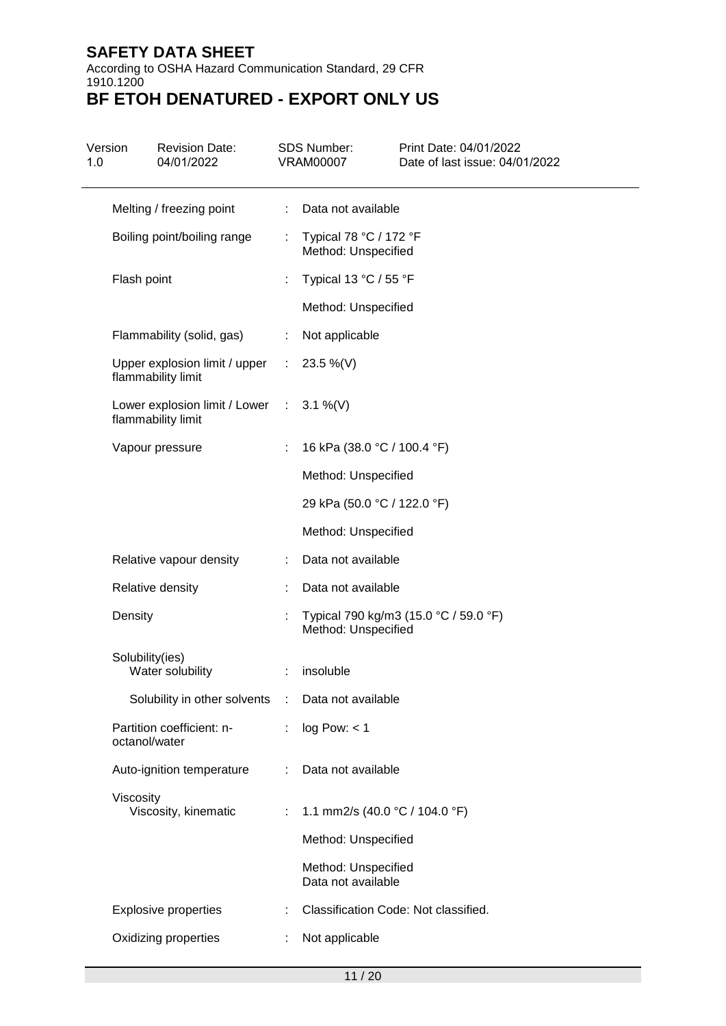According to OSHA Hazard Communication Standard, 29 CFR 1910.1200

| 1.0 | Version         | <b>Revision Date:</b><br>04/01/2022                            |   | <b>SDS Number:</b><br><b>VRAM00007</b>        | Print Date: 04/01/2022<br>Date of last issue: 04/01/2022 |
|-----|-----------------|----------------------------------------------------------------|---|-----------------------------------------------|----------------------------------------------------------|
|     |                 | Melting / freezing point                                       | ÷ | Data not available                            |                                                          |
|     |                 | Boiling point/boiling range                                    | ÷ | Typical 78 °C / 172 °F<br>Method: Unspecified |                                                          |
|     | Flash point     |                                                                |   | Typical 13 °C / 55 °F                         |                                                          |
|     |                 |                                                                |   | Method: Unspecified                           |                                                          |
|     |                 | Flammability (solid, gas)                                      | ÷ | Not applicable                                |                                                          |
|     |                 | Upper explosion limit / upper<br>flammability limit            |   | : $23.5\%$ (V)                                |                                                          |
|     |                 | Lower explosion limit / Lower : 3.1 %(V)<br>flammability limit |   |                                               |                                                          |
|     |                 | Vapour pressure                                                |   | 16 kPa (38.0 °C / 100.4 °F)                   |                                                          |
|     |                 |                                                                |   | Method: Unspecified                           |                                                          |
|     |                 |                                                                |   | 29 kPa (50.0 °C / 122.0 °F)                   |                                                          |
|     |                 |                                                                |   | Method: Unspecified                           |                                                          |
|     |                 | Relative vapour density                                        | ÷ | Data not available                            |                                                          |
|     |                 | Relative density                                               | ÷ | Data not available                            |                                                          |
|     | Density         |                                                                |   | Method: Unspecified                           | Typical 790 kg/m3 (15.0 °C / 59.0 °F)                    |
|     | Solubility(ies) | Water solubility                                               |   | insoluble                                     |                                                          |
|     |                 | Solubility in other solvents :                                 |   | Data not available                            |                                                          |
|     | octanol/water   | Partition coefficient: n-                                      | ÷ | log Pow: < 1                                  |                                                          |
|     |                 | Auto-ignition temperature                                      | ÷ | Data not available                            |                                                          |
|     | Viscosity       | Viscosity, kinematic                                           |   | 1.1 mm2/s (40.0 °C / 104.0 °F)                |                                                          |
|     |                 |                                                                |   | Method: Unspecified                           |                                                          |
|     |                 |                                                                |   | Method: Unspecified<br>Data not available     |                                                          |
|     |                 | <b>Explosive properties</b>                                    |   |                                               | Classification Code: Not classified.                     |
|     |                 | Oxidizing properties                                           | ÷ | Not applicable                                |                                                          |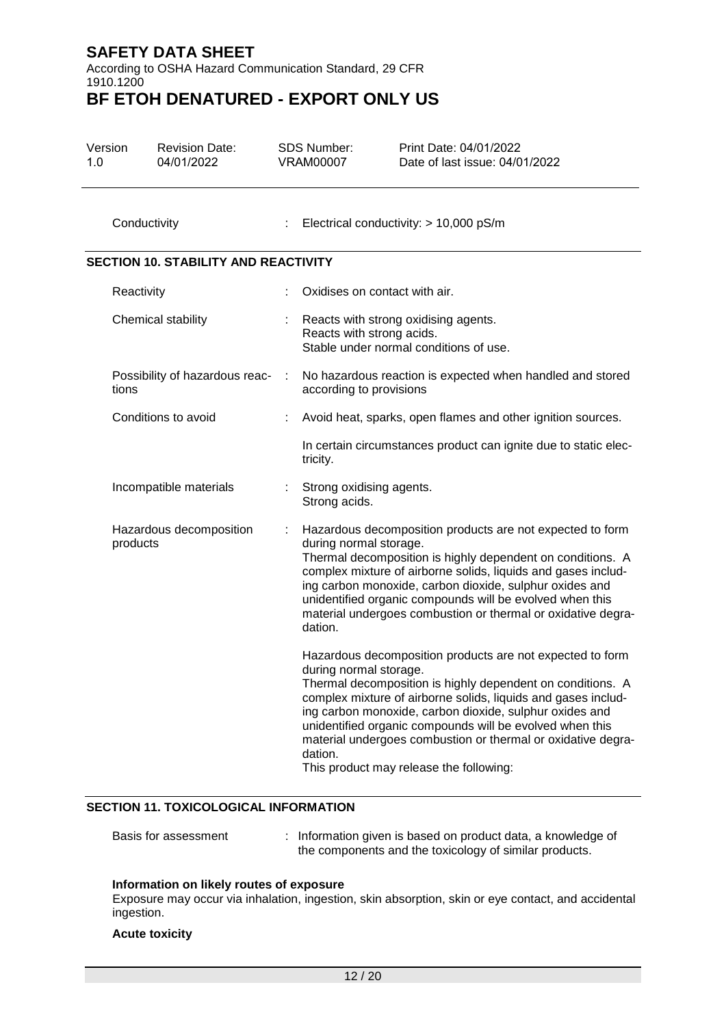According to OSHA Hazard Communication Standard, 29 CFR 1910.1200

# **BF ETOH DENATURED - EXPORT ONLY US**

| Version<br>1.0 | <b>Revision Date:</b><br>04/01/2022         |  |                | <b>SDS Number:</b><br><b>VRAM00007</b>                                               | Print Date: 04/01/2022<br>Date of last issue: 04/01/2022                                                                                                                                                                                                                                                                                                                                                                   |
|----------------|---------------------------------------------|--|----------------|--------------------------------------------------------------------------------------|----------------------------------------------------------------------------------------------------------------------------------------------------------------------------------------------------------------------------------------------------------------------------------------------------------------------------------------------------------------------------------------------------------------------------|
|                | Conductivity                                |  | ÷              | Electrical conductivity: > 10,000 pS/m                                               |                                                                                                                                                                                                                                                                                                                                                                                                                            |
|                | <b>SECTION 10. STABILITY AND REACTIVITY</b> |  |                |                                                                                      |                                                                                                                                                                                                                                                                                                                                                                                                                            |
|                | Reactivity                                  |  |                | Oxidises on contact with air.                                                        |                                                                                                                                                                                                                                                                                                                                                                                                                            |
|                | Chemical stability                          |  |                | Reacts with strong acids.                                                            | Reacts with strong oxidising agents.<br>Stable under normal conditions of use.                                                                                                                                                                                                                                                                                                                                             |
|                | Possibility of hazardous reac-<br>tions     |  | $\mathbb{R}^n$ | No hazardous reaction is expected when handled and stored<br>according to provisions |                                                                                                                                                                                                                                                                                                                                                                                                                            |
|                | Conditions to avoid                         |  |                |                                                                                      | Avoid heat, sparks, open flames and other ignition sources.                                                                                                                                                                                                                                                                                                                                                                |
|                |                                             |  |                | tricity.                                                                             | In certain circumstances product can ignite due to static elec-                                                                                                                                                                                                                                                                                                                                                            |
|                | Incompatible materials                      |  |                | Strong oxidising agents.<br>Strong acids.                                            |                                                                                                                                                                                                                                                                                                                                                                                                                            |
|                | Hazardous decomposition<br>products         |  |                | during normal storage.<br>dation.                                                    | Hazardous decomposition products are not expected to form<br>Thermal decomposition is highly dependent on conditions. A<br>complex mixture of airborne solids, liquids and gases includ-<br>ing carbon monoxide, carbon dioxide, sulphur oxides and<br>unidentified organic compounds will be evolved when this<br>material undergoes combustion or thermal or oxidative degra-                                            |
|                |                                             |  |                | during normal storage.<br>dation.                                                    | Hazardous decomposition products are not expected to form<br>Thermal decomposition is highly dependent on conditions. A<br>complex mixture of airborne solids, liquids and gases includ-<br>ing carbon monoxide, carbon dioxide, sulphur oxides and<br>unidentified organic compounds will be evolved when this<br>material undergoes combustion or thermal or oxidative degra-<br>This product may release the following: |

### **SECTION 11. TOXICOLOGICAL INFORMATION**

| Basis for assessment | Information given is based on product data, a knowledge of |
|----------------------|------------------------------------------------------------|
|                      | the components and the toxicology of similar products.     |

### **Information on likely routes of exposure**

Exposure may occur via inhalation, ingestion, skin absorption, skin or eye contact, and accidental ingestion.

### **Acute toxicity**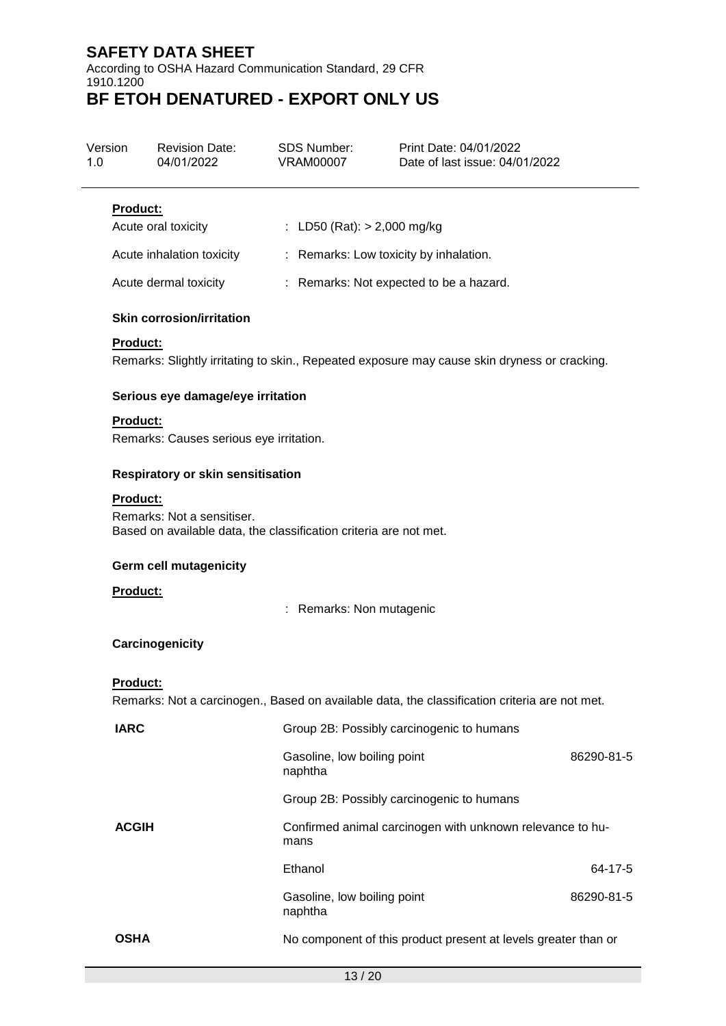According to OSHA Hazard Communication Standard, 29 CFR 1910.1200 **BF ETOH DENATURED - EXPORT ONLY US**

## Version 1.0 Revision Date: 04/01/2022 SDS Number: VRAM00007 Print Date: 04/01/2022 Date of last issue: 04/01/2022 **Product:** Acute oral toxicity : LD50 (Rat): > 2,000 mg/kg Acute inhalation toxicity : Remarks: Low toxicity by inhalation. Acute dermal toxicity : Remarks: Not expected to be a hazard. **Skin corrosion/irritation Product:** Remarks: Slightly irritating to skin., Repeated exposure may cause skin dryness or cracking. **Serious eye damage/eye irritation Product:** Remarks: Causes serious eye irritation. **Respiratory or skin sensitisation Product:** Remarks: Not a sensitiser. Based on available data, the classification criteria are not met. **Germ cell mutagenicity**

**Product:**

: Remarks: Non mutagenic

### **Carcinogenicity**

### **Product:**

Remarks: Not a carcinogen., Based on available data, the classification criteria are not met.

| <b>IARC</b>  | Group 2B: Possibly carcinogenic to humans                         |            |
|--------------|-------------------------------------------------------------------|------------|
|              | Gasoline, low boiling point<br>naphtha                            | 86290-81-5 |
|              | Group 2B: Possibly carcinogenic to humans                         |            |
| <b>ACGIH</b> | Confirmed animal carcinogen with unknown relevance to hu-<br>mans |            |
|              | Ethanol                                                           | 64-17-5    |
|              | Gasoline, low boiling point<br>naphtha                            | 86290-81-5 |
| <b>OSHA</b>  | No component of this product present at levels greater than or    |            |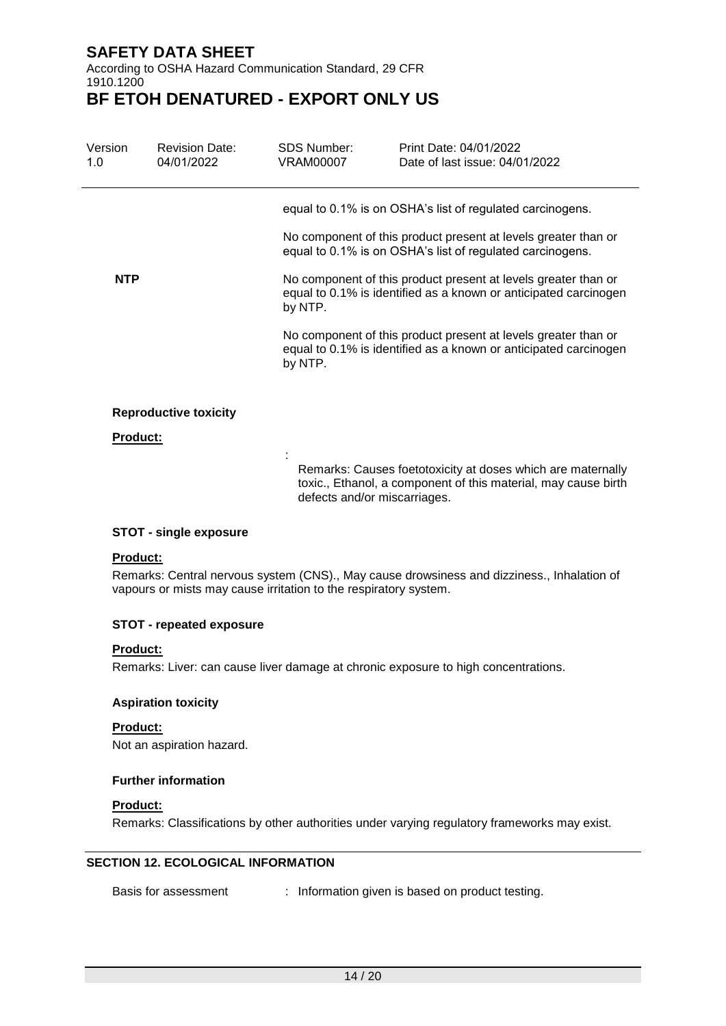According to OSHA Hazard Communication Standard, 29 CFR 1910.1200

## **BF ETOH DENATURED - EXPORT ONLY US**

| Version<br>1.0  | <b>Revision Date:</b><br>04/01/2022 | SDS Number:<br>VRAM00007 | Print Date: 04/01/2022<br>Date of last issue: 04/01/2022                                                                           |
|-----------------|-------------------------------------|--------------------------|------------------------------------------------------------------------------------------------------------------------------------|
|                 |                                     |                          | equal to 0.1% is on OSHA's list of regulated carcinogens.                                                                          |
|                 |                                     |                          | No component of this product present at levels greater than or<br>equal to 0.1% is on OSHA's list of regulated carcinogens.        |
| <b>NTP</b>      |                                     | by NTP.                  | No component of this product present at levels greater than or<br>equal to 0.1% is identified as a known or anticipated carcinogen |
|                 |                                     | by NTP.                  | No component of this product present at levels greater than or<br>equal to 0.1% is identified as a known or anticipated carcinogen |
|                 | <b>Reproductive toxicity</b>        |                          |                                                                                                                                    |
| <b>Product:</b> |                                     |                          |                                                                                                                                    |
|                 |                                     |                          | Remarks: Causes foetotoxicity at doses which are maternally                                                                        |

toxic., Ethanol, a component of this material, may cause birth defects and/or miscarriages.

### **STOT - single exposure**

### **Product:**

Remarks: Central nervous system (CNS)., May cause drowsiness and dizziness., Inhalation of vapours or mists may cause irritation to the respiratory system.

### **STOT - repeated exposure**

#### **Product:**

Remarks: Liver: can cause liver damage at chronic exposure to high concentrations.

### **Aspiration toxicity**

**Product:** Not an aspiration hazard.

### **Further information**

### **Product:**

Remarks: Classifications by other authorities under varying regulatory frameworks may exist.

### **SECTION 12. ECOLOGICAL INFORMATION**

Basis for assessment : Information given is based on product testing.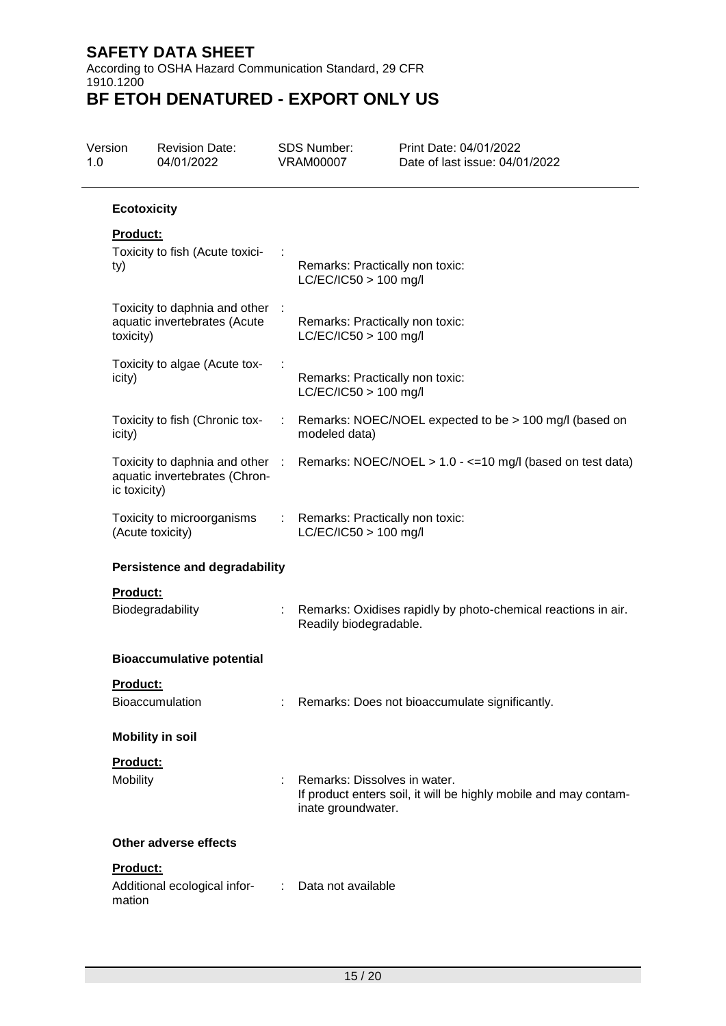According to OSHA Hazard Communication Standard, 29 CFR 1910.1200 **BF ETOH DENATURED - EXPORT ONLY US**

| 1.0 | Version                              | <b>Revision Date:</b><br>04/01/2022                              |    | <b>SDS Number:</b><br><b>VRAM00007</b>                       | Print Date: 04/01/2022<br>Date of last issue: 04/01/2022         |
|-----|--------------------------------------|------------------------------------------------------------------|----|--------------------------------------------------------------|------------------------------------------------------------------|
|     | <b>Ecotoxicity</b>                   |                                                                  |    |                                                              |                                                                  |
|     | <b>Product:</b><br>ty)               | Toxicity to fish (Acute toxici-                                  |    | Remarks: Practically non toxic:<br>$LC/EC/IC50 > 100$ mg/l   |                                                                  |
|     | toxicity)                            | Toxicity to daphnia and other :<br>aquatic invertebrates (Acute  |    | Remarks: Practically non toxic:<br>$LC/EC/IC50 > 100$ mg/l   |                                                                  |
|     | icity)                               | Toxicity to algae (Acute tox-                                    |    | Remarks: Practically non toxic:<br>LC/EC/IC50 > 100 mg/l     |                                                                  |
|     | icity)                               | Toxicity to fish (Chronic tox-                                   | ÷  | modeled data)                                                | Remarks: NOEC/NOEL expected to be > 100 mg/l (based on           |
|     | ic toxicity)                         | Toxicity to daphnia and other :<br>aquatic invertebrates (Chron- |    |                                                              | Remarks: NOEC/NOEL > 1.0 - <= 10 mg/l (based on test data)       |
|     |                                      | Toxicity to microorganisms<br>(Acute toxicity)                   |    | : Remarks: Practically non toxic:<br>$LC/EC/IC50 > 100$ mg/l |                                                                  |
|     | <b>Persistence and degradability</b> |                                                                  |    |                                                              |                                                                  |
|     | <b>Product:</b>                      | Biodegradability                                                 | ÷. | Readily biodegradable.                                       | Remarks: Oxidises rapidly by photo-chemical reactions in air.    |
|     |                                      | <b>Bioaccumulative potential</b>                                 |    |                                                              |                                                                  |
|     | Product:                             | <b>Bioaccumulation</b>                                           |    |                                                              | Remarks: Does not bioaccumulate significantly.                   |
|     |                                      | <b>Mobility in soil</b>                                          |    |                                                              |                                                                  |
|     | Product:<br>Mobility                 |                                                                  |    | Remarks: Dissolves in water.<br>inate groundwater.           | If product enters soil, it will be highly mobile and may contam- |
|     | <b>Other adverse effects</b>         |                                                                  |    |                                                              |                                                                  |
|     | Product:<br>mation                   | Additional ecological infor-                                     | ÷. | Data not available                                           |                                                                  |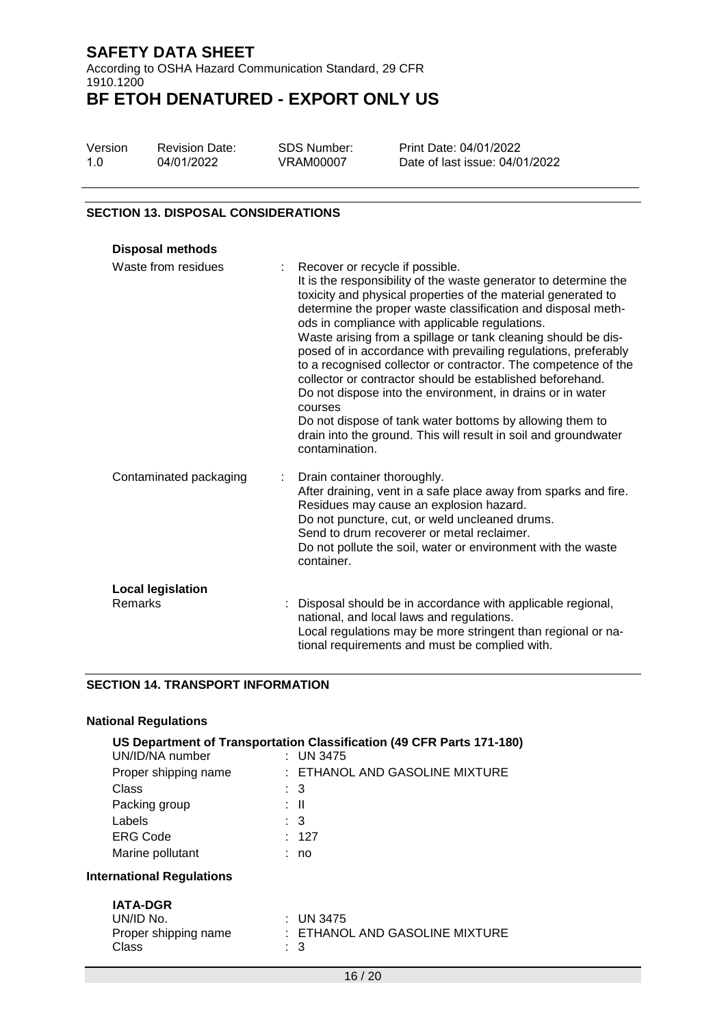According to OSHA Hazard Communication Standard, 29 CFR 1910.1200 **BF ETOH DENATURED - EXPORT ONLY US**

| Version | <b>Revision Date:</b> | <b>SDS Number:</b> |
|---------|-----------------------|--------------------|
| 1.0     | 04/01/2022            | <b>VRAM00007</b>   |

Print Date: 04/01/2022 Date of last issue: 04/01/2022

### **SECTION 13. DISPOSAL CONSIDERATIONS**

| <b>Disposal methods</b>             |                                                                                                                                                                                                                                                                                                                                                                                                                                                                                                                                                                                                                                                                                                                                                                                    |
|-------------------------------------|------------------------------------------------------------------------------------------------------------------------------------------------------------------------------------------------------------------------------------------------------------------------------------------------------------------------------------------------------------------------------------------------------------------------------------------------------------------------------------------------------------------------------------------------------------------------------------------------------------------------------------------------------------------------------------------------------------------------------------------------------------------------------------|
| Waste from residues                 | Recover or recycle if possible.<br>It is the responsibility of the waste generator to determine the<br>toxicity and physical properties of the material generated to<br>determine the proper waste classification and disposal meth-<br>ods in compliance with applicable regulations.<br>Waste arising from a spillage or tank cleaning should be dis-<br>posed of in accordance with prevailing regulations, preferably<br>to a recognised collector or contractor. The competence of the<br>collector or contractor should be established beforehand.<br>Do not dispose into the environment, in drains or in water<br>courses<br>Do not dispose of tank water bottoms by allowing them to<br>drain into the ground. This will result in soil and groundwater<br>contamination. |
| Contaminated packaging              | Drain container thoroughly.<br>After draining, vent in a safe place away from sparks and fire.<br>Residues may cause an explosion hazard.<br>Do not puncture, cut, or weld uncleaned drums.<br>Send to drum recoverer or metal reclaimer.<br>Do not pollute the soil, water or environment with the waste<br>container.                                                                                                                                                                                                                                                                                                                                                                                                                                                            |
| <b>Local legislation</b><br>Remarks | Disposal should be in accordance with applicable regional,<br>national, and local laws and regulations.<br>Local regulations may be more stringent than regional or na-<br>tional requirements and must be complied with.                                                                                                                                                                                                                                                                                                                                                                                                                                                                                                                                                          |

### **SECTION 14. TRANSPORT INFORMATION**

|                                  | US Department of Transportation Classification (49 CFR Parts 171-180) |
|----------------------------------|-----------------------------------------------------------------------|
| UN/ID/NA number                  | : UN 3475                                                             |
| Proper shipping name             | : ETHANOL AND GASOLINE MIXTURE                                        |
| Class                            | $\therefore$ 3                                                        |
| Packing group                    | : II                                                                  |
| Labels                           | $\therefore$ 3                                                        |
| <b>ERG Code</b>                  | : 127                                                                 |
| Marine pollutant                 | : no                                                                  |
| <b>International Regulations</b> |                                                                       |
| <b>IATA-DGR</b>                  |                                                                       |
| <b>INI/IN NI-</b>                | $\sim$ IIN A $\sim$ 1.7 F                                             |

| UN/ID No.            | $\pm$ UN 3475                  |
|----------------------|--------------------------------|
| Proper shipping name | : ETHANOL AND GASOLINE MIXTURE |
| Class                | : 3                            |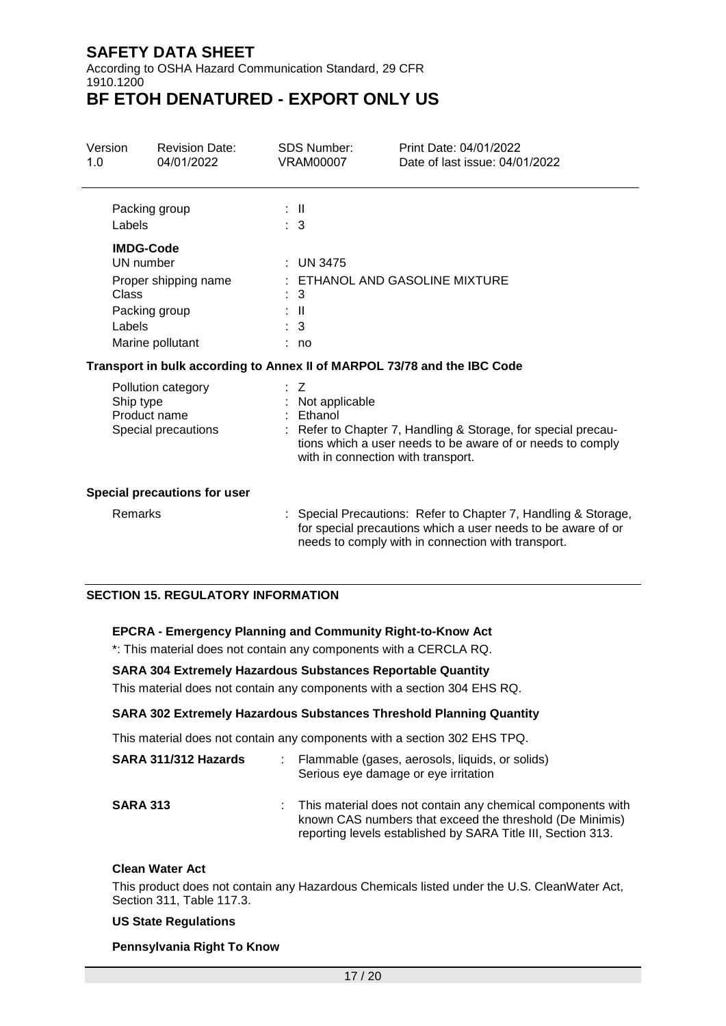According to OSHA Hazard Communication Standard, 29 CFR 1910.1200

## **BF ETOH DENATURED - EXPORT ONLY US**

| Version<br>1.0                                                         |                                                                                                               | <b>Revision Date:</b><br>04/01/2022                                  | <b>SDS Number:</b><br><b>VRAM00007</b>                                                                                    | Print Date: 04/01/2022<br>Date of last issue: 04/01/2022                                                                                                                           |
|------------------------------------------------------------------------|---------------------------------------------------------------------------------------------------------------|----------------------------------------------------------------------|---------------------------------------------------------------------------------------------------------------------------|------------------------------------------------------------------------------------------------------------------------------------------------------------------------------------|
|                                                                        | Packing group<br>Labels                                                                                       |                                                                      | : II<br>$\therefore$ 3                                                                                                    |                                                                                                                                                                                    |
|                                                                        | <b>IMDG-Code</b><br>UN number<br>Proper shipping name<br>Class<br>Packing group<br>Labels<br>Marine pollutant |                                                                      | <b>UN 3475</b><br>3<br>$\mathbf{I}$<br>3<br>: no                                                                          | ETHANOL AND GASOLINE MIXTURE                                                                                                                                                       |
|                                                                        |                                                                                                               |                                                                      |                                                                                                                           | Transport in bulk according to Annex II of MARPOL 73/78 and the IBC Code                                                                                                           |
| Pollution category<br>Ship type<br>Product name<br>Special precautions |                                                                                                               | Z<br>Not applicable<br>Ethanol<br>with in connection with transport. | Refer to Chapter 7, Handling & Storage, for special precau-<br>tions which a user needs to be aware of or needs to comply |                                                                                                                                                                                    |
|                                                                        |                                                                                                               | <b>Special precautions for user</b>                                  |                                                                                                                           |                                                                                                                                                                                    |
|                                                                        | Remarks                                                                                                       |                                                                      |                                                                                                                           | Special Precautions: Refer to Chapter 7, Handling & Storage,<br>for special precautions which a user needs to be aware of or<br>needs to comply with in connection with transport. |

### **SECTION 15. REGULATORY INFORMATION**

### **EPCRA - Emergency Planning and Community Right-to-Know Act**

\*: This material does not contain any components with a CERCLA RQ.

### **SARA 304 Extremely Hazardous Substances Reportable Quantity**

This material does not contain any components with a section 304 EHS RQ.

### **SARA 302 Extremely Hazardous Substances Threshold Planning Quantity**

This material does not contain any components with a section 302 EHS TPQ.

| SARA 311/312 Hazards | : Flammable (gases, aerosols, liquids, or solids)<br>Serious eye damage or eye irritation                                                                                                 |
|----------------------|-------------------------------------------------------------------------------------------------------------------------------------------------------------------------------------------|
| <b>SARA 313</b>      | : This material does not contain any chemical components with<br>known CAS numbers that exceed the threshold (De Minimis)<br>reporting levels established by SARA Title III, Section 313. |

#### **Clean Water Act**

This product does not contain any Hazardous Chemicals listed under the U.S. CleanWater Act, Section 311, Table 117.3.

#### **US State Regulations**

#### **Pennsylvania Right To Know**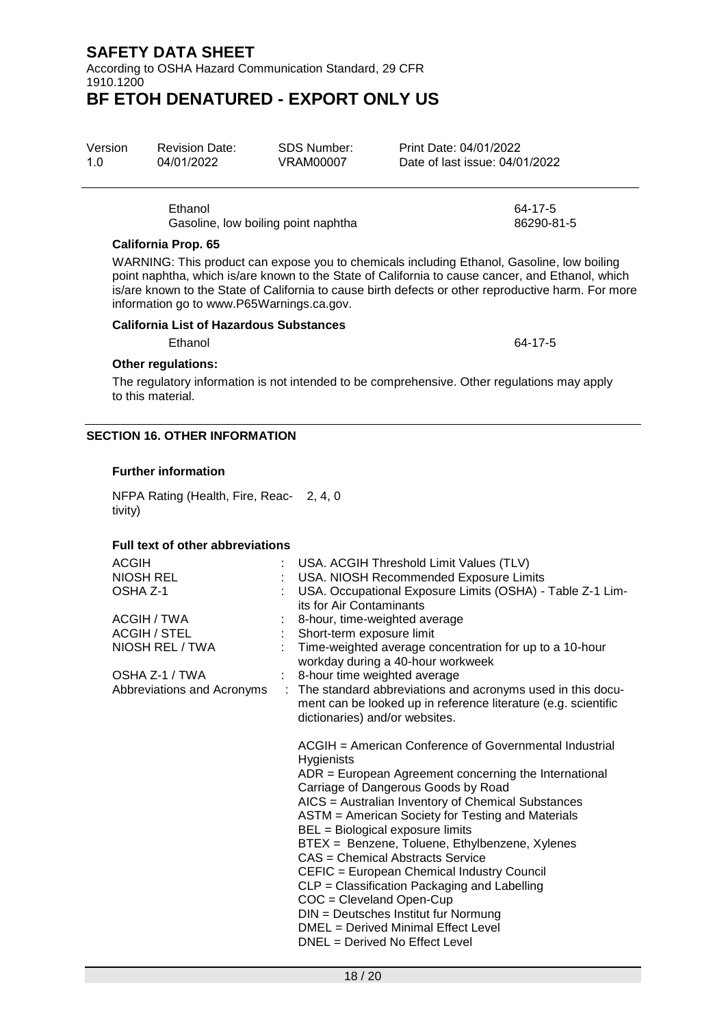According to OSHA Hazard Communication Standard, 29 CFR 1910.1200

## **BF ETOH DENATURED - EXPORT ONLY US**

| Version | <b>Revision Date:</b> | <b>SDS Number:</b> |
|---------|-----------------------|--------------------|
| 1.0     | 04/01/2022            | <b>VRAM00007</b>   |
|         |                       |                    |

Ethanol 64-17-5 Gasoline, low boiling point naphtha 86290-81-5

### **California Prop. 65**

WARNING: This product can expose you to chemicals including Ethanol, Gasoline, low boiling point naphtha, which is/are known to the State of California to cause cancer, and Ethanol, which is/are known to the State of California to cause birth defects or other reproductive harm. For more information go to www.P65Warnings.ca.gov.

### **California List of Hazardous Substances**

Ethanol 64-17-5

### **Other regulations:**

The regulatory information is not intended to be comprehensive. Other regulations may apply to this material.

### **SECTION 16. OTHER INFORMATION**

### **Further information**

NFPA Rating (Health, Fire, Reac-2, 4, 0 tivity)

### **Full text of other abbreviations**

| <b>ACGIH</b>               | USA. ACGIH Threshold Limit Values (TLV)                                                                                                                          |
|----------------------------|------------------------------------------------------------------------------------------------------------------------------------------------------------------|
| <b>NIOSH REL</b>           | USA. NIOSH Recommended Exposure Limits                                                                                                                           |
| OSHA Z-1                   | USA. Occupational Exposure Limits (OSHA) - Table Z-1 Lim-                                                                                                        |
|                            | its for Air Contaminants                                                                                                                                         |
| ACGIH / TWA                | 8-hour, time-weighted average                                                                                                                                    |
| ACGIH / STEL               | Short-term exposure limit                                                                                                                                        |
| NIOSH REL / TWA            | Time-weighted average concentration for up to a 10-hour<br>workday during a 40-hour workweek                                                                     |
| OSHA Z-1 / TWA             | : 8-hour time weighted average                                                                                                                                   |
| Abbreviations and Acronyms | : The standard abbreviations and acronyms used in this docu-<br>ment can be looked up in reference literature (e.g. scientific<br>dictionaries) and/or websites. |
|                            | ACGIH = American Conference of Governmental Industrial<br>Hygienists                                                                                             |
|                            | $ADR = European Agreement concerning the International$<br>Carriage of Dangerous Goods by Road                                                                   |
|                            | AICS = Australian Inventory of Chemical Substances                                                                                                               |
|                            | ASTM = American Society for Testing and Materials<br>BEL = Biological exposure limits                                                                            |
|                            | BTEX = Benzene, Toluene, Ethylbenzene, Xylenes                                                                                                                   |
|                            | CAS = Chemical Abstracts Service                                                                                                                                 |
|                            | CEFIC = European Chemical Industry Council                                                                                                                       |
|                            | CLP = Classification Packaging and Labelling                                                                                                                     |
|                            | COC = Cleveland Open-Cup                                                                                                                                         |
|                            | DIN = Deutsches Institut fur Normung                                                                                                                             |
|                            | DMEL = Derived Minimal Effect Level                                                                                                                              |
|                            | DNEL = Derived No Effect Level                                                                                                                                   |
|                            |                                                                                                                                                                  |

Print Date: 04/01/2022 Date of last issue: 04/01/2022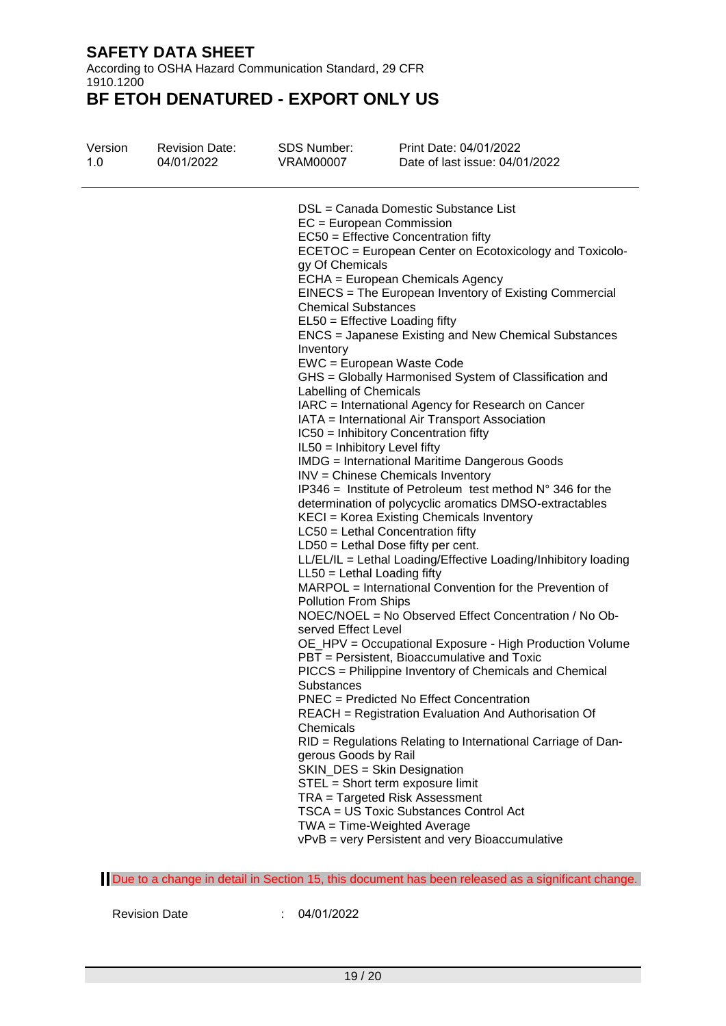According to OSHA Hazard Communication Standard, 29 CFR 1910.1200

## **BF ETOH DENATURED - EXPORT ONLY US**

|                                                                                                                                                                                                                                                                                                                                                                                                                                                                                                                                                                                                                                                                                                                                                                                                                                                                                                                                                                                                                                                                                                                                                                                                                                                                                                                                                                                                                                                                                                                                                                                                                                                                                                                                                                                                                                                                                                                                                                                                             | Version | <b>Revision Date:</b> | <b>SDS Number:</b> | Print Date: 04/01/2022         |
|-------------------------------------------------------------------------------------------------------------------------------------------------------------------------------------------------------------------------------------------------------------------------------------------------------------------------------------------------------------------------------------------------------------------------------------------------------------------------------------------------------------------------------------------------------------------------------------------------------------------------------------------------------------------------------------------------------------------------------------------------------------------------------------------------------------------------------------------------------------------------------------------------------------------------------------------------------------------------------------------------------------------------------------------------------------------------------------------------------------------------------------------------------------------------------------------------------------------------------------------------------------------------------------------------------------------------------------------------------------------------------------------------------------------------------------------------------------------------------------------------------------------------------------------------------------------------------------------------------------------------------------------------------------------------------------------------------------------------------------------------------------------------------------------------------------------------------------------------------------------------------------------------------------------------------------------------------------------------------------------------------------|---------|-----------------------|--------------------|--------------------------------|
|                                                                                                                                                                                                                                                                                                                                                                                                                                                                                                                                                                                                                                                                                                                                                                                                                                                                                                                                                                                                                                                                                                                                                                                                                                                                                                                                                                                                                                                                                                                                                                                                                                                                                                                                                                                                                                                                                                                                                                                                             | 1.0     | 04/01/2022            | <b>VRAM00007</b>   | Date of last issue: 04/01/2022 |
| DSL = Canada Domestic Substance List<br>EC = European Commission<br>EC50 = Effective Concentration fifty<br>ECETOC = European Center on Ecotoxicology and Toxicolo-<br>gy Of Chemicals<br>ECHA = European Chemicals Agency<br>EINECS = The European Inventory of Existing Commercial<br><b>Chemical Substances</b><br>EL50 = Effective Loading fifty<br><b>ENCS</b> = Japanese Existing and New Chemical Substances<br>Inventory<br>EWC = European Waste Code<br>GHS = Globally Harmonised System of Classification and<br>Labelling of Chemicals<br>IARC = International Agency for Research on Cancer<br>IATA = International Air Transport Association<br>IC50 = Inhibitory Concentration fifty<br>IL50 = Inhibitory Level fifty<br><b>IMDG</b> = International Maritime Dangerous Goods<br>INV = Chinese Chemicals Inventory<br>IP346 = Institute of Petroleum test method $N^{\circ}$ 346 for the<br>determination of polycyclic aromatics DMSO-extractables<br>KECI = Korea Existing Chemicals Inventory<br>$LC50$ = Lethal Concentration fifty<br>LD50 = Lethal Dose fifty per cent.<br>LL/EL/IL = Lethal Loading/Effective Loading/Inhibitory loading<br>$LL50 = Lethal$ Loading fifty<br>MARPOL = International Convention for the Prevention of<br><b>Pollution From Ships</b><br>NOEC/NOEL = No Observed Effect Concentration / No Ob-<br>served Effect Level<br>OE_HPV = Occupational Exposure - High Production Volume<br>PBT = Persistent, Bioaccumulative and Toxic<br>PICCS = Philippine Inventory of Chemicals and Chemical<br>Substances<br><b>PNEC</b> = Predicted No Effect Concentration<br>REACH = Registration Evaluation And Authorisation Of<br>Chemicals<br>RID = Regulations Relating to International Carriage of Dan-<br>gerous Goods by Rail<br>SKIN_DES = Skin Designation<br>STEL = Short term exposure limit<br>TRA = Targeted Risk Assessment<br>TSCA = US Toxic Substances Control Act<br>TWA = Time-Weighted Average<br>vPvB = very Persistent and very Bioaccumulative |         |                       |                    |                                |

Due to a change in detail in Section 15, this document has been released as a significant change.

Revision Date : 04/01/2022